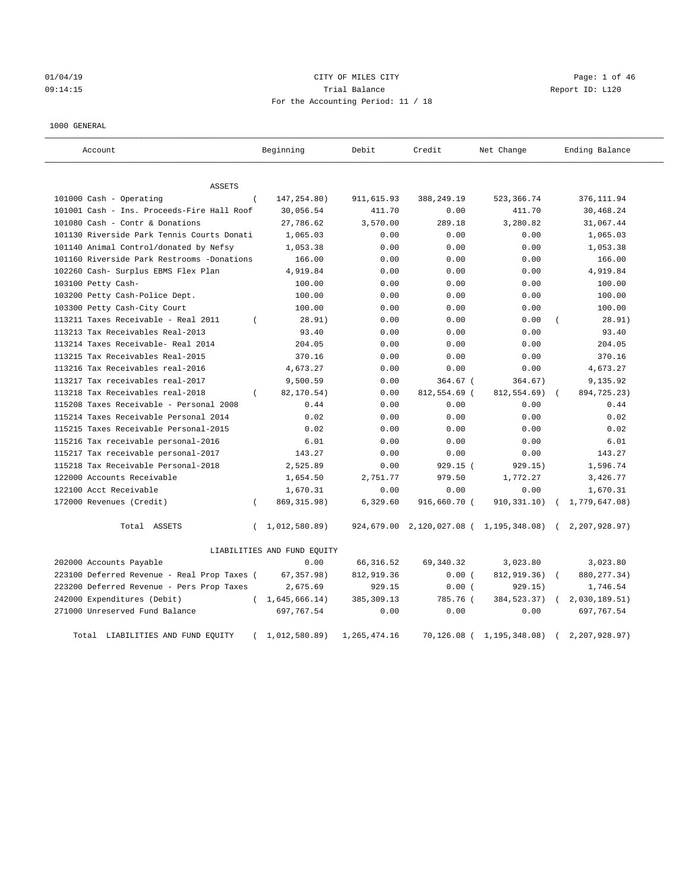### 01/04/19 Page: 1 of 46 09:14:15 Trial Balance Report ID: L120 For the Accounting Period: 11 / 18

#### 1000 GENERAL

| Account                                     | Beginning                   | Debit        | Credit        | Net Change    | Ending Balance                               |
|---------------------------------------------|-----------------------------|--------------|---------------|---------------|----------------------------------------------|
| ASSETS                                      |                             |              |               |               |                                              |
| 101000 Cash - Operating                     | 147,254.80)<br>$\left($     | 911,615.93   | 388,249.19    | 523, 366.74   | 376, 111.94                                  |
| 101001 Cash - Ins. Proceeds-Fire Hall Roof  | 30,056.54                   | 411.70       | 0.00          | 411.70        | 30,468.24                                    |
| 101080 Cash - Contr & Donations             | 27,786.62                   | 3,570.00     | 289.18        | 3,280.82      | 31,067.44                                    |
| 101130 Riverside Park Tennis Courts Donati  | 1,065.03                    | 0.00         | 0.00          | 0.00          | 1,065.03                                     |
| 101140 Animal Control/donated by Nefsy      | 1,053.38                    | 0.00         | 0.00          | 0.00          | 1,053.38                                     |
| 101160 Riverside Park Restrooms -Donations  | 166.00                      | 0.00         | 0.00          | 0.00          | 166.00                                       |
| 102260 Cash- Surplus EBMS Flex Plan         | 4,919.84                    | 0.00         | 0.00          | 0.00          | 4,919.84                                     |
| 103100 Petty Cash-                          | 100.00                      | 0.00         | 0.00          | 0.00          | 100.00                                       |
| 103200 Petty Cash-Police Dept.              | 100.00                      | 0.00         | 0.00          | 0.00          | 100.00                                       |
| 103300 Petty Cash-City Court                | 100.00                      | 0.00         | 0.00          | 0.00          | 100.00                                       |
| 113211 Taxes Receivable - Real 2011         | 28.91)<br>$\left($          | 0.00         | 0.00          | 0.00          | 28.91)                                       |
| 113213 Tax Receivables Real-2013            | 93.40                       | 0.00         | 0.00          | 0.00          | 93.40                                        |
| 113214 Taxes Receivable- Real 2014          | 204.05                      | 0.00         | 0.00          | 0.00          | 204.05                                       |
| 113215 Tax Receivables Real-2015            | 370.16                      | 0.00         | 0.00          | 0.00          | 370.16                                       |
| 113216 Tax Receivables real-2016            | 4,673.27                    | 0.00         | 0.00          | 0.00          | 4,673.27                                     |
| 113217 Tax receivables real-2017            | 9,500.59                    | 0.00         | $364.67$ (    | 364.67)       | 9,135.92                                     |
| 113218 Tax Receivables real-2018            | 82,170.54)<br>$\left($      | 0.00         | 812,554.69 (  | 812,554.69)   | 894,725.23)                                  |
| 115208 Taxes Receivable - Personal 2008     | 0.44                        | 0.00         | 0.00          | 0.00          | 0.44                                         |
| 115214 Taxes Receivable Personal 2014       | 0.02                        | 0.00         | 0.00          | 0.00          | 0.02                                         |
| 115215 Taxes Receivable Personal-2015       | 0.02                        | 0.00         | 0.00          | 0.00          | 0.02                                         |
| 115216 Tax receivable personal-2016         | 6.01                        | 0.00         | 0.00          | 0.00          | 6.01                                         |
| 115217 Tax receivable personal-2017         | 143.27                      | 0.00         | 0.00          | 0.00          | 143.27                                       |
| 115218 Tax Receivable Personal-2018         | 2,525.89                    | 0.00         | 929.15 (      | 929.15)       | 1,596.74                                     |
| 122000 Accounts Receivable                  | 1,654.50                    | 2,751.77     | 979.50        | 1,772.27      | 3,426.77                                     |
| 122100 Acct Receivable                      | 1,670.31                    | 0.00         | 0.00          | 0.00          | 1,670.31                                     |
| 172000 Revenues (Credit)                    | 869, 315.98)<br>$\left($    | 6,329.60     | 916,660.70 (  | 910, 331.10)  | (1, 779, 647.08)                             |
| Total ASSETS                                | 1,012,580.89)<br>$\left($   | 924,679.00   |               |               | 2,120,027.08 ( 1,195,348.08) ( 2,207,928.97) |
|                                             | LIABILITIES AND FUND EQUITY |              |               |               |                                              |
| 202000 Accounts Payable                     | 0.00                        | 66, 316.52   | 69, 340. 32   | 3,023.80      | 3,023.80                                     |
| 223100 Deferred Revenue - Real Prop Taxes ( | 67, 357.98)                 | 812,919.36   | 0.00(         | 812,919.36)   | 880, 277.34)                                 |
| 223200 Deferred Revenue - Pers Prop Taxes   | 2,675.69                    | 929.15       | 0.00(         | 929.15)       | 1,746.54                                     |
| 242000 Expenditures (Debit)                 | (1, 645, 666.14)            | 385, 309.13  | 785.76 (      | 384, 523. 37) | 2,030,189.51)                                |
| 271000 Unreserved Fund Balance              | 697,767.54                  | 0.00         | 0.00          | 0.00          | 697,767.54                                   |
| Total<br>LIABILITIES AND FUND EQUITY        | 1,012,580.89)<br>$\left($   | 1,265,474.16 | $70.126.08$ ( | 1,195,348.08) | 2.207.928.97                                 |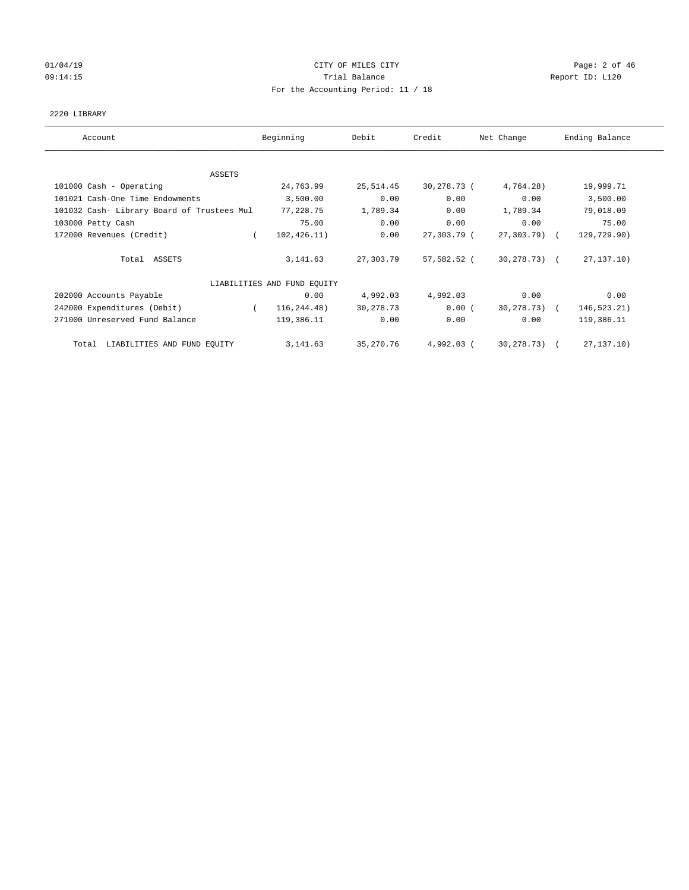# 01/04/19 CITY OF MILES CITY CHANNEL CITY CHANNEL CONTROLLER Page: 2 of 46 09:14:15 **Trial Balance Constanting Trial Balance Report ID:** L120 For the Accounting Period: 11 / 18

#### 2220 LIBRARY

| Account                                    | Beginning                   | Debit     | Credit      | Net Change      | Ending Balance |
|--------------------------------------------|-----------------------------|-----------|-------------|-----------------|----------------|
|                                            |                             |           |             |                 |                |
| ASSETS                                     |                             |           |             |                 |                |
| 101000 Cash - Operating                    | 24,763.99                   | 25,514.45 | 30,278.73 ( | 4,764.28)       | 19,999.71      |
| 101021 Cash-One Time Endowments            | 3,500.00                    | 0.00      | 0.00        | 0.00            | 3,500.00       |
| 101032 Cash- Library Board of Trustees Mul | 77,228.75                   | 1,789.34  | 0.00        | 1,789.34        | 79,018.09      |
| 103000 Petty Cash                          | 75.00                       | 0.00      | 0.00        | 0.00            | 75.00          |
| 172000 Revenues (Credit)                   | 102, 426.11)                | 0.00      | 27,303.79 ( | 27,303.79) (    | 129,729.90)    |
| Total ASSETS                               | 3, 141.63                   | 27,303.79 | 57,582.52 ( | 30,278.73) (    | 27, 137, 10)   |
|                                            | LIABILITIES AND FUND EOUITY |           |             |                 |                |
| 202000 Accounts Payable                    | 0.00                        | 4,992.03  | 4,992.03    | 0.00            | 0.00           |
| 242000 Expenditures (Debit)                | 116,244.48)                 | 30,278.73 | 0.00(       | $30, 278, 73$ ( | 146,523.21)    |
| 271000 Unreserved Fund Balance             | 119,386.11                  | 0.00      | 0.00        | 0.00            | 119,386.11     |
| Total LIABILITIES AND FUND EQUITY          | 3, 141.63                   | 35,270.76 | 4,992.03 (  | 30,278.73) (    | 27, 137, 10)   |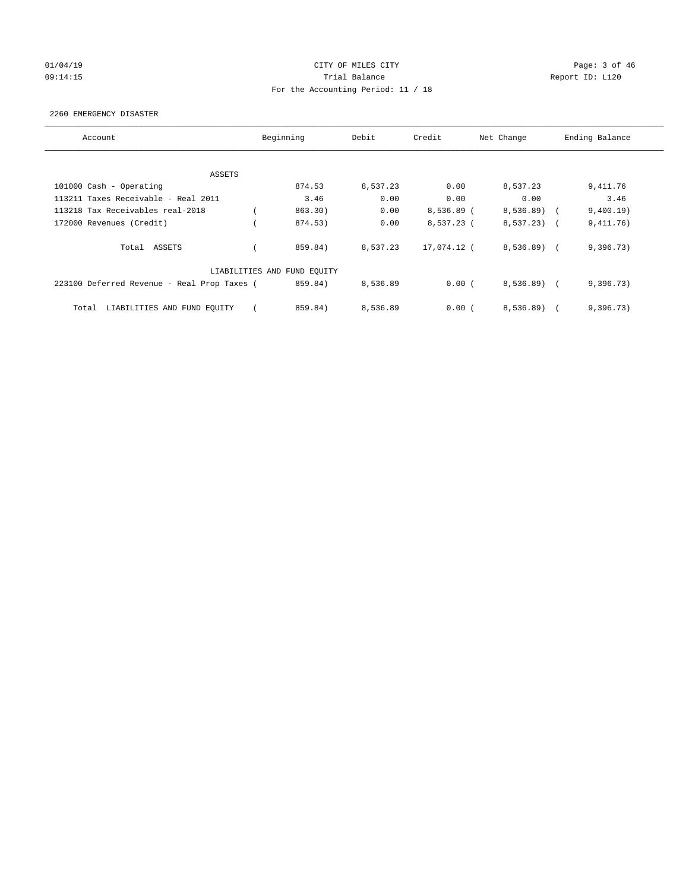# 01/04/19 CITY OF MILES CITY CHECK CITY CONTROL Page: 3 of 46 09:14:15 **Trial Balance Constanting Trial Balance Report ID:** L120 For the Accounting Period: 11 / 18

#### 2260 EMERGENCY DISASTER

| Account                                     | Beginning                   | Debit    | Credit      | Net Change   | Ending Balance |  |
|---------------------------------------------|-----------------------------|----------|-------------|--------------|----------------|--|
|                                             |                             |          |             |              |                |  |
| ASSETS                                      |                             |          |             |              |                |  |
| 101000 Cash - Operating                     | 874.53                      | 8,537.23 | 0.00        | 8,537.23     | 9,411.76       |  |
| 113211 Taxes Receivable - Real 2011         | 3.46                        | 0.00     | 0.00        | 0.00         | 3.46           |  |
| 113218 Tax Receivables real-2018            | 863.30)                     | 0.00     | 8,536.89 (  | 8,536.89)    | 9,400.19)      |  |
| 172000 Revenues (Credit)                    | 874.53)                     | 0.00     | 8,537.23 (  | $8,537.23$ ( | 9,411.76)      |  |
| Total ASSETS                                | 859.84)                     | 8,537.23 | 17,074.12 ( | 8,536.89     | 9,396.73)      |  |
|                                             | LIABILITIES AND FUND EQUITY |          |             |              |                |  |
| 223100 Deferred Revenue - Real Prop Taxes ( | 859.84)                     | 8,536.89 | 0.00(       | $8,536.89$ ( | 9,396.73)      |  |
| LIABILITIES AND FUND EQUITY<br>Total        | 859.84)                     | 8,536.89 | 0.00(       | 8,536.89)    | 9,396.73)      |  |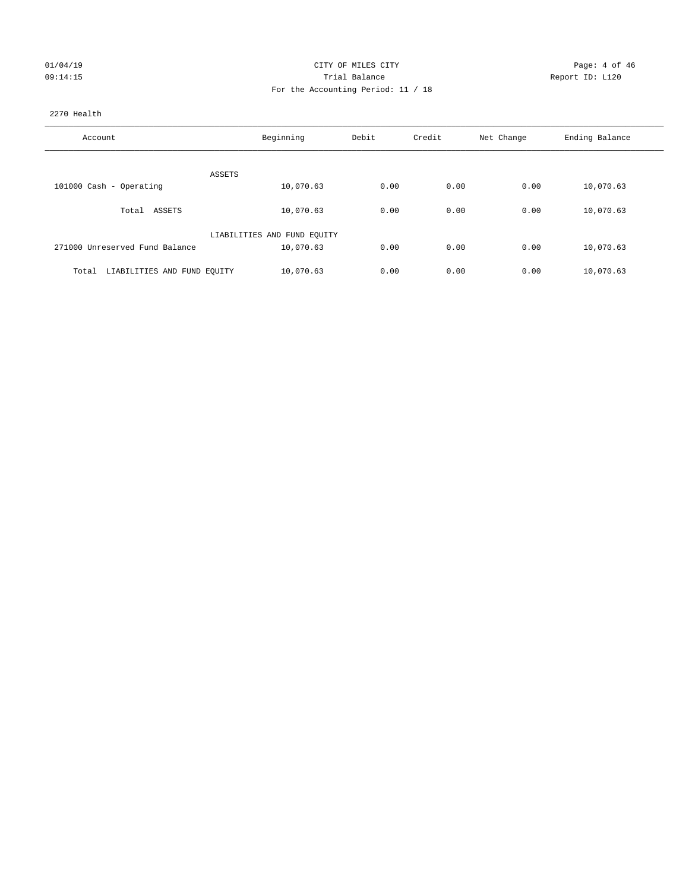| 01/04/19 |          |
|----------|----------|
|          | 09:14:15 |

#### CITY OF MILES CITY CITY CITY Page: 4 of 46 Partial Balance and Communications of the Report ID: L120 For the Accounting Period: 11 / 18

#### 2270 Health

| Account                              | Beginning                   | Debit | Credit | Net Change | Ending Balance |
|--------------------------------------|-----------------------------|-------|--------|------------|----------------|
|                                      |                             |       |        |            |                |
| ASSETS                               |                             |       |        |            |                |
| 101000 Cash - Operating              | 10,070.63                   | 0.00  | 0.00   | 0.00       | 10,070.63      |
| ASSETS<br>Total                      | 10,070.63                   | 0.00  | 0.00   | 0.00       | 10,070.63      |
|                                      | LIABILITIES AND FUND EQUITY |       |        |            |                |
| 271000 Unreserved Fund Balance       | 10,070.63                   | 0.00  | 0.00   | 0.00       | 10,070.63      |
| LIABILITIES AND FUND EQUITY<br>Total | 10,070.63                   | 0.00  | 0.00   | 0.00       | 10,070.63      |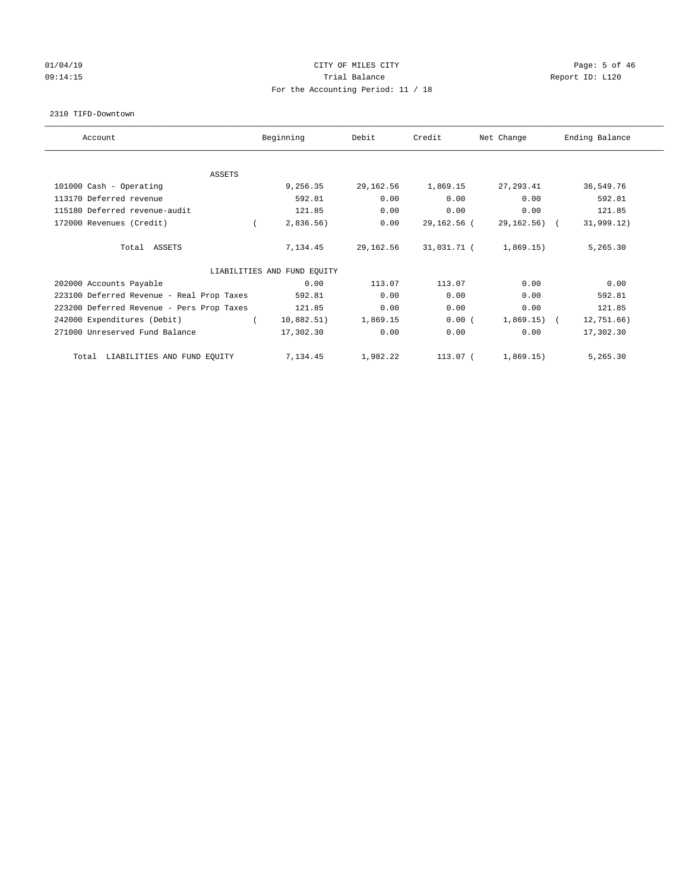# 01/04/19 CITY OF MILES CITY CHANNEL CITY CONTROL Page: 5 of 46 09:14:15 **Trial Balance Constanting Trial Balance Report ID:** L120 For the Accounting Period: 11 / 18

#### 2310 TIFD-Downtown

| Account                                   | Beginning                   | Debit     | Credit      | Net Change   | Ending Balance |
|-------------------------------------------|-----------------------------|-----------|-------------|--------------|----------------|
| ASSETS                                    |                             |           |             |              |                |
| 101000 Cash - Operating                   | 9,256.35                    | 29,162.56 | 1,869.15    | 27,293.41    | 36,549.76      |
| 113170 Deferred revenue                   | 592.81                      | 0.00      | 0.00        | 0.00         | 592.81         |
| 115180 Deferred revenue-audit             | 121.85                      | 0.00      | 0.00        | 0.00         | 121.85         |
| 172000 Revenues (Credit)                  | 2,836.56)                   | 0.00      | 29,162.56 ( | 29,162.56) ( | 31,999.12)     |
| Total ASSETS                              | 7,134.45                    | 29,162.56 | 31,031.71 ( | 1,869.15)    | 5,265.30       |
|                                           | LIABILITIES AND FUND EQUITY |           |             |              |                |
| 202000 Accounts Payable                   | 0.00                        | 113.07    | 113.07      | 0.00         | 0.00           |
| 223100 Deferred Revenue - Real Prop Taxes | 592.81                      | 0.00      | 0.00        | 0.00         | 592.81         |
| 223200 Deferred Revenue - Pers Prop Taxes | 121.85                      | 0.00      | 0.00        | 0.00         | 121.85         |
| 242000 Expenditures (Debit)               | 10,882.51)                  | 1,869.15  | 0.00(       | $1,869.15$ ( | 12,751.66)     |
| 271000 Unreserved Fund Balance            | 17,302.30                   | 0.00      | 0.00        | 0.00         | 17,302.30      |
| LIABILITIES AND FUND EQUITY<br>Total      | 7,134.45                    | 1,982.22  | 113.07 (    | 1,869.15)    | 5,265.30       |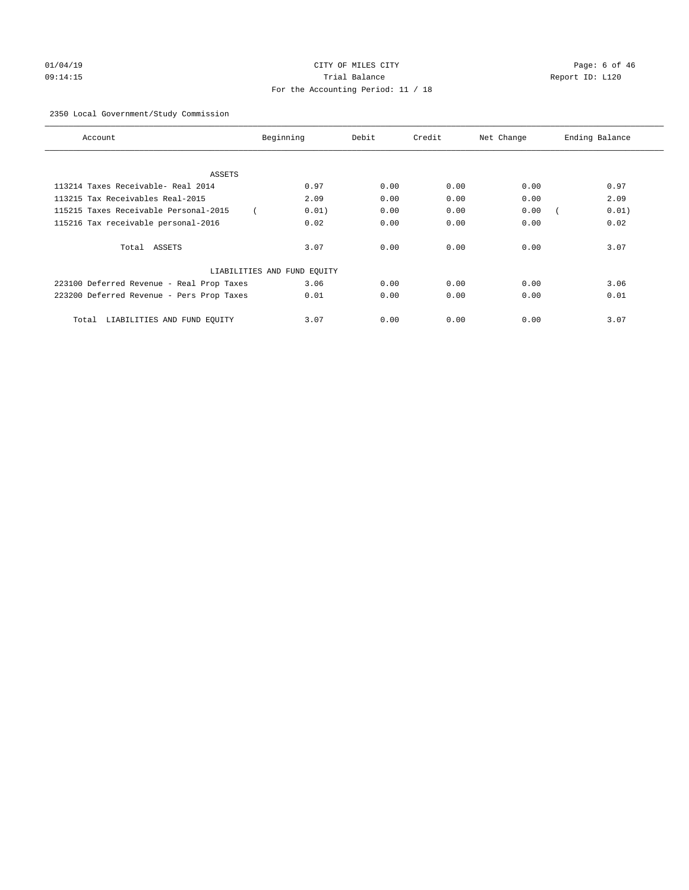# 01/04/19 CITY OF MILES CITY CHANNEL CITY CHANNEL CONTROLLER Page: 6 of 46 09:14:15 Trial Balance Report ID: L120 For the Accounting Period: 11 / 18

#### 2350 Local Government/Study Commission

| Account                                   | Beginning                   | Debit | Credit | Net Change | Ending Balance |
|-------------------------------------------|-----------------------------|-------|--------|------------|----------------|
|                                           |                             |       |        |            |                |
| ASSETS                                    |                             |       |        |            |                |
| 113214 Taxes Receivable- Real 2014        | 0.97                        | 0.00  | 0.00   | 0.00       | 0.97           |
| 113215 Tax Receivables Real-2015          | 2.09                        | 0.00  | 0.00   | 0.00       | 2.09           |
| 115215 Taxes Receivable Personal-2015     | 0.01)                       | 0.00  | 0.00   | 0.00       | 0.01)          |
| 115216 Tax receivable personal-2016       | 0.02                        | 0.00  | 0.00   | 0.00       | 0.02           |
| Total ASSETS                              | 3.07                        | 0.00  | 0.00   | 0.00       | 3.07           |
|                                           | LIABILITIES AND FUND EQUITY |       |        |            |                |
| 223100 Deferred Revenue - Real Prop Taxes | 3.06                        | 0.00  | 0.00   | 0.00       | 3.06           |
| 223200 Deferred Revenue - Pers Prop Taxes | 0.01                        | 0.00  | 0.00   | 0.00       | 0.01           |
| LIABILITIES AND FUND EQUITY<br>Total      | 3.07                        | 0.00  | 0.00   | 0.00       | 3.07           |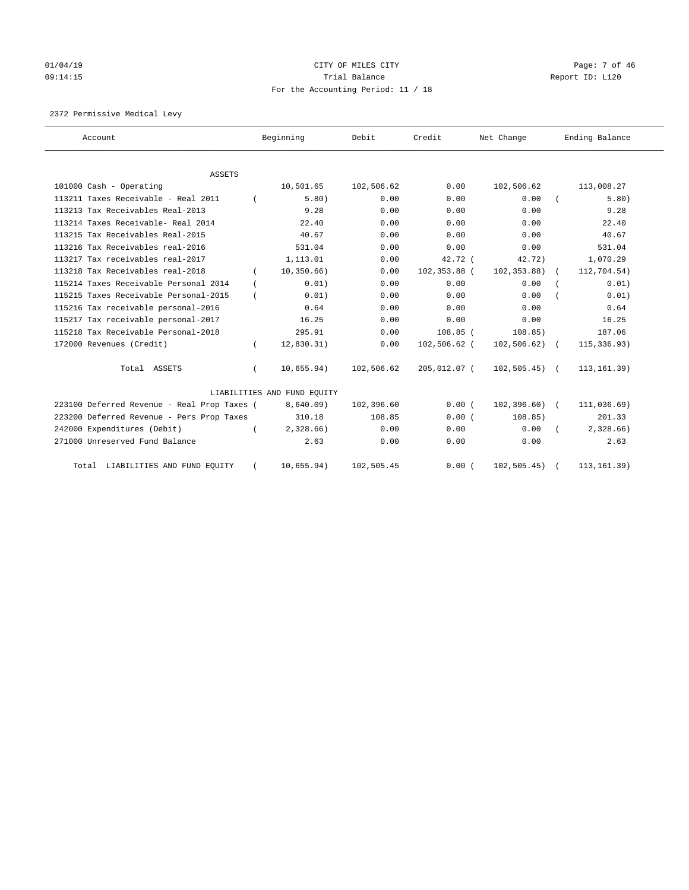# 01/04/19 CITY OF MILES CITY CHANNEL CITY CHANNEL CONTROLLER Page: 7 of 46 09:14:15 **Trial Balance Constanting Trial Balance Report ID:** L120 For the Accounting Period: 11 / 18

2372 Permissive Medical Levy

| Account                                     |          | Beginning                   | Debit      | Credit       | Net Change      | Ending Balance |
|---------------------------------------------|----------|-----------------------------|------------|--------------|-----------------|----------------|
| <b>ASSETS</b>                               |          |                             |            |              |                 |                |
| 101000 Cash - Operating                     |          | 10,501.65                   | 102,506.62 | 0.00         | 102,506.62      | 113,008.27     |
| 113211 Taxes Receivable - Real 2011         |          | 5.80)                       | 0.00       | 0.00         | 0.00            | 5.80)          |
| 113213 Tax Receivables Real-2013            |          | 9.28                        | 0.00       | 0.00         | 0.00            | 9.28           |
| 113214 Taxes Receivable- Real 2014          |          | 22.40                       | 0.00       | 0.00         | 0.00            | 22.40          |
| 113215 Tax Receivables Real-2015            |          | 40.67                       | 0.00       | 0.00         | 0.00            | 40.67          |
| 113216 Tax Receivables real-2016            |          | 531.04                      | 0.00       | 0.00         | 0.00            | 531.04         |
| 113217 Tax receivables real-2017            |          | 1,113.01                    | 0.00       | $42.72$ (    | 42.72           | 1,070.29       |
| 113218 Tax Receivables real-2018            |          | 10, 350.66)                 | 0.00       | 102,353.88 ( | 102, 353.88)    | 112,704.54)    |
| 115214 Taxes Receivable Personal 2014       |          | 0.01)                       | 0.00       | 0.00         | 0.00            | 0.01)          |
| 115215 Taxes Receivable Personal-2015       |          | 0.01)                       | 0.00       | 0.00         | 0.00            | 0.01)          |
| 115216 Tax receivable personal-2016         |          | 0.64                        | 0.00       | 0.00         | 0.00            | 0.64           |
| 115217 Tax receivable personal-2017         |          | 16.25                       | 0.00       | 0.00         | 0.00            | 16.25          |
| 115218 Tax Receivable Personal-2018         |          | 295.91                      | 0.00       | $108.85$ (   | 108.85)         | 187.06         |
| 172000 Revenues (Credit)                    |          | 12,830.31)                  | 0.00       | 102,506.62 ( | $102, 506.62$ ( | 115, 336.93)   |
| Total ASSETS                                | $\left($ | 10,655.94)                  | 102,506.62 | 205,012.07 ( | $102, 505.45$ ( | 113, 161.39)   |
|                                             |          | LIABILITIES AND FUND EQUITY |            |              |                 |                |
| 223100 Deferred Revenue - Real Prop Taxes ( |          | 8,640.09                    | 102,396.60 | 0.00(        | $102, 396.60$ ( | 111,036.69)    |
| 223200 Deferred Revenue - Pers Prop Taxes   |          | 310.18                      | 108.85     | 0.00(        | 108.85)         | 201.33         |
| 242000 Expenditures (Debit)                 |          | $2,328.66$ )                | 0.00       | 0.00         | 0.00            | 2,328.66       |
| 271000 Unreserved Fund Balance              |          | 2.63                        | 0.00       | 0.00         | 0.00            | 2.63           |
| Total LIABILITIES AND FUND EQUITY           |          | 10,655.94)                  | 102,505.45 | 0.00(        | 102, 505.45)    | 113, 161.39)   |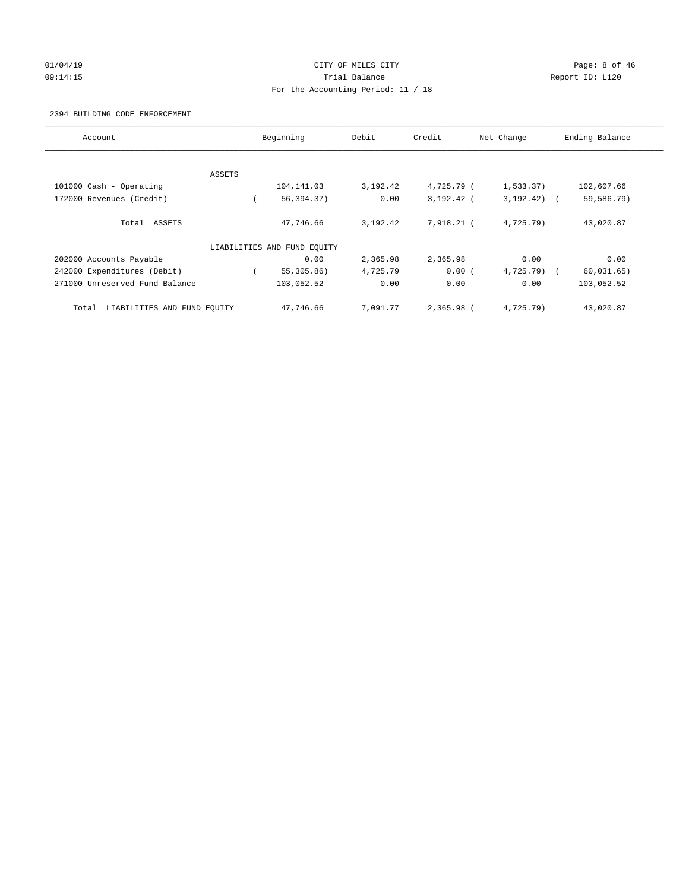# 01/04/19 CITY OF MILES CITY CHANNEL CITY CHANNEL CONTROLLER Page: 8 of 46 09:14:15 **Trial Balance Constanting Trial Balance Report ID:** L120 For the Accounting Period: 11 / 18

#### 2394 BUILDING CODE ENFORCEMENT

| Account                              | Beginning                   | Debit    | Credit       | Net Change   | Ending Balance |
|--------------------------------------|-----------------------------|----------|--------------|--------------|----------------|
|                                      |                             |          |              |              |                |
| ASSETS                               |                             |          |              |              |                |
| 101000 Cash - Operating              | 104,141.03                  | 3,192.42 | 4,725.79 (   | 1,533.37)    | 102,607.66     |
| 172000 Revenues (Credit)             | 56,394.37)                  | 0.00     | 3,192.42 (   | $3,192.42$ ( | 59,586.79)     |
| Total ASSETS                         | 47,746.66                   | 3,192.42 | 7,918.21 (   | 4,725.79)    | 43,020.87      |
|                                      | LIABILITIES AND FUND EQUITY |          |              |              |                |
| 202000 Accounts Payable              | 0.00                        | 2,365.98 | 2,365.98     | 0.00         | 0.00           |
| 242000 Expenditures (Debit)          | 55,305.86)                  | 4,725.79 | 0.00(        | $4,725.79$ ( | 60,031.65)     |
| 271000 Unreserved Fund Balance       | 103,052.52                  | 0.00     | 0.00         | 0.00         | 103,052.52     |
| LIABILITIES AND FUND EQUITY<br>Total | 47,746.66                   | 7,091.77 | $2,365,98$ ( | 4,725.79)    | 43,020.87      |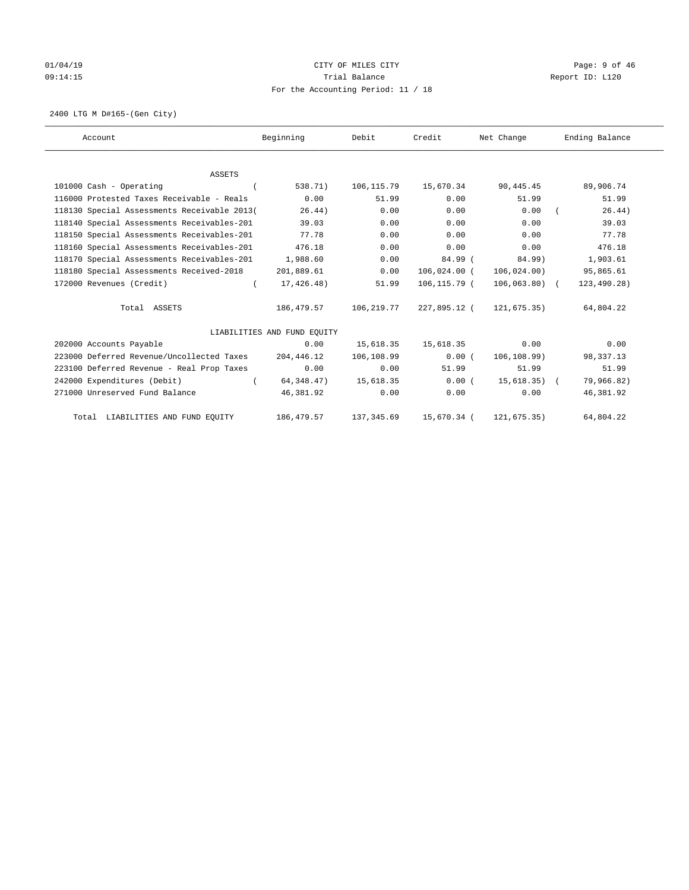# 01/04/19 CITY OF MILES CITY CHANNEL CITY CHANNEL CONTROLLER Page: 9 of 46 09:14:15 **Trial Balance Constanting Trial Balance Report ID:** L120 For the Accounting Period: 11 / 18

2400 LTG M D#165-(Gen City)

| Account                                     | Beginning                   | Debit       | Credit       | Net Change     | Ending Balance |
|---------------------------------------------|-----------------------------|-------------|--------------|----------------|----------------|
|                                             |                             |             |              |                |                |
| <b>ASSETS</b>                               |                             |             |              |                |                |
| 101000 Cash - Operating                     | 538.71)                     | 106,115.79  | 15,670.34    | 90,445.45      | 89,906.74      |
| 116000 Protested Taxes Receivable - Reals   | 0.00                        | 51.99       | 0.00         | 51.99          | 51.99          |
| 118130 Special Assessments Receivable 2013( | 26.44)                      | 0.00        | 0.00         | 0.00           | 26.44)         |
| 118140 Special Assessments Receivables-201  | 39.03                       | 0.00        | 0.00         | 0.00           | 39.03          |
| 118150 Special Assessments Receivables-201  | 77.78                       | 0.00        | 0.00         | 0.00           | 77.78          |
| 118160 Special Assessments Receivables-201  | 476.18                      | 0.00        | 0.00         | 0.00           | 476.18         |
| 118170 Special Assessments Receivables-201  | 1,988.60                    | 0.00        | 84.99 (      | 84.99)         | 1,903.61       |
| 118180 Special Assessments Received-2018    | 201,889.61                  | 0.00        | 106,024.00 ( | 106, 024.00)   | 95,865.61      |
| 172000 Revenues (Credit)<br>$\left($        | 17,426.48)                  | 51.99       | 106,115.79 ( | $106,063.80$ ( | 123,490.28)    |
| Total ASSETS                                | 186,479.57                  | 106,219.77  | 227,895.12 ( | 121,675.35)    | 64,804.22      |
|                                             | LIABILITIES AND FUND EQUITY |             |              |                |                |
| 202000 Accounts Payable                     | 0.00                        | 15,618.35   | 15,618.35    | 0.00           | 0.00           |
| 223000 Deferred Revenue/Uncollected Taxes   | 204,446.12                  | 106,108.99  | 0.00(        | 106, 108.99)   | 98,337.13      |
| 223100 Deferred Revenue - Real Prop Taxes   | 0.00                        | 0.00        | 51.99        | 51.99          | 51.99          |
| 242000 Expenditures (Debit)<br>$\sqrt{2}$   | 64,348.47)                  | 15,618.35   | 0.00(        | 15,618.35) (   | 79,966.82)     |
| 271000 Unreserved Fund Balance              | 46,381.92                   | 0.00        | 0.00         | 0.00           | 46,381.92      |
| Total LIABILITIES AND FUND EQUITY           | 186,479.57                  | 137, 345.69 | 15,670.34 (  | 121,675.35)    | 64,804.22      |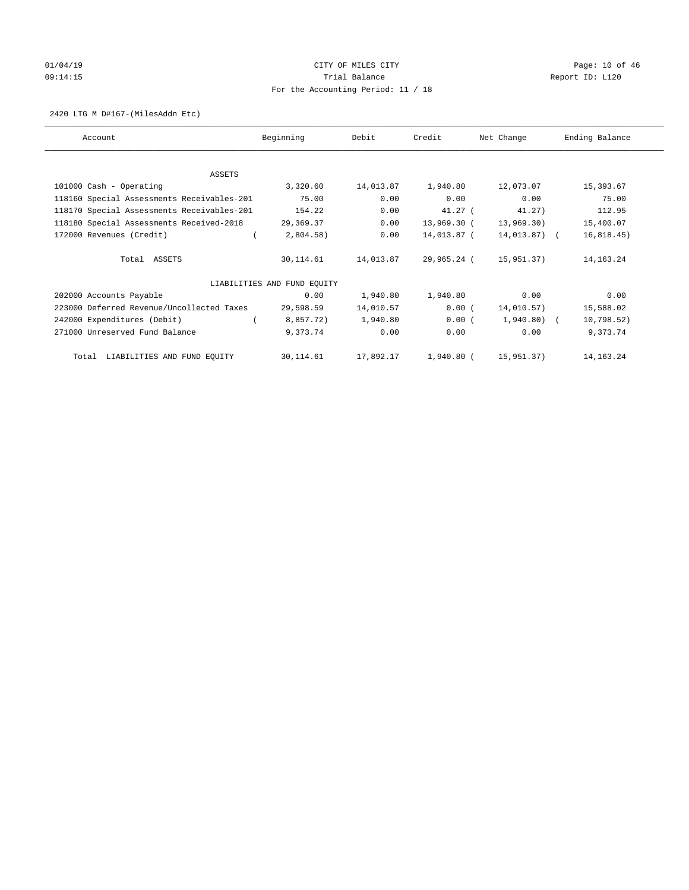# 01/04/19 CITY OF MILES CITY CHECK CITY CHECK Page: 10 of 46 09:14:15 Trial Balance Report ID: L120 For the Accounting Period: 11 / 18

#### 2420 LTG M D#167-(MilesAddn Etc)

| Account                                    | Beginning                   | Debit     | Credit      | Net Change   | Ending Balance |
|--------------------------------------------|-----------------------------|-----------|-------------|--------------|----------------|
|                                            |                             |           |             |              |                |
| ASSETS                                     |                             |           |             |              |                |
| 101000 Cash - Operating                    | 3,320.60                    | 14,013.87 | 1,940.80    | 12,073.07    | 15,393.67      |
| 118160 Special Assessments Receivables-201 | 75.00                       | 0.00      | 0.00        | 0.00         | 75.00          |
| 118170 Special Assessments Receivables-201 | 154.22                      | 0.00      | $41.27$ (   | 41.27)       | 112.95         |
| 118180 Special Assessments Received-2018   | 29,369.37                   | 0.00      | 13,969.30 ( | 13,969.30)   | 15,400.07      |
| 172000 Revenues (Credit)                   | $2,804.58$ )                | 0.00      | 14,013.87 ( | 14,013.87) ( | 16, 818.45)    |
| Total ASSETS                               | 30,114.61                   | 14,013.87 | 29,965.24 ( | 15,951.37)   | 14, 163. 24    |
|                                            | LIABILITIES AND FUND EQUITY |           |             |              |                |
| 202000 Accounts Payable                    | 0.00                        | 1,940.80  | 1,940.80    | 0.00         | 0.00           |
| 223000 Deferred Revenue/Uncollected Taxes  | 29,598.59                   | 14,010.57 | 0.00(       | 14,010.57)   | 15,588.02      |
| 242000 Expenditures (Debit)                | 8,857.72)                   | 1,940.80  | 0.00(       | $1,940.80$ ( | 10,798.52)     |
| 271000 Unreserved Fund Balance             | 9,373.74                    | 0.00      | 0.00        | 0.00         | 9,373.74       |
| Total LIABILITIES AND FUND EQUITY          | 30,114.61                   | 17,892.17 | 1,940.80 (  | 15,951.37)   | 14,163.24      |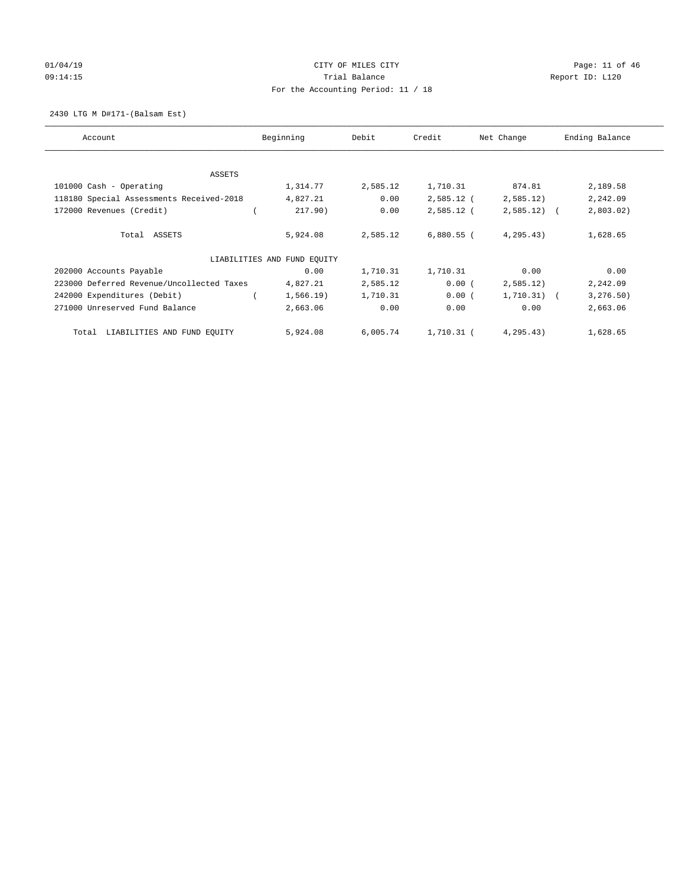# $CITY$  OF MILES  $CITY$  and the contract of  $P46$ 09:14:15 **Trial Balance Constanting Trial Balance Report ID:** L120 For the Accounting Period: 11 / 18

2430 LTG M D#171-(Balsam Est)

| Account                                   | Beginning                   | Debit    | Credit       | Net Change    | Ending Balance |
|-------------------------------------------|-----------------------------|----------|--------------|---------------|----------------|
|                                           |                             |          |              |               |                |
| ASSETS                                    |                             |          |              |               |                |
| 101000 Cash - Operating                   | 1,314.77                    | 2,585.12 | 1,710.31     | 874.81        | 2,189.58       |
| 118180 Special Assessments Received-2018  | 4,827.21                    | 0.00     | $2,585.12$ ( | 2,585.12)     | 2,242.09       |
| 172000 Revenues (Credit)                  | 217.90)                     | 0.00     | $2,585.12$ ( | $2,585.12$ (  | 2,803.02)      |
| Total ASSETS                              | 5,924.08                    | 2,585.12 | $6,880.55$ ( | 4, 295.43)    | 1,628.65       |
|                                           | LIABILITIES AND FUND EOUITY |          |              |               |                |
| 202000 Accounts Payable                   | 0.00                        | 1,710.31 | 1,710.31     | 0.00          | 0.00           |
| 223000 Deferred Revenue/Uncollected Taxes | 4,827.21                    | 2,585.12 | 0.00(        | 2,585.12)     | 2,242.09       |
| 242000 Expenditures (Debit)               | $1,566.19$ )                | 1,710.31 | 0.00(        | $1,710.31)$ ( | 3, 276.50)     |
| 271000 Unreserved Fund Balance            | 2,663.06                    | 0.00     | 0.00         | 0.00          | 2,663.06       |
| LIABILITIES AND FUND EQUITY<br>Total      | 5,924.08                    | 6,005.74 | 1,710.31 (   | 4, 295.43)    | 1,628.65       |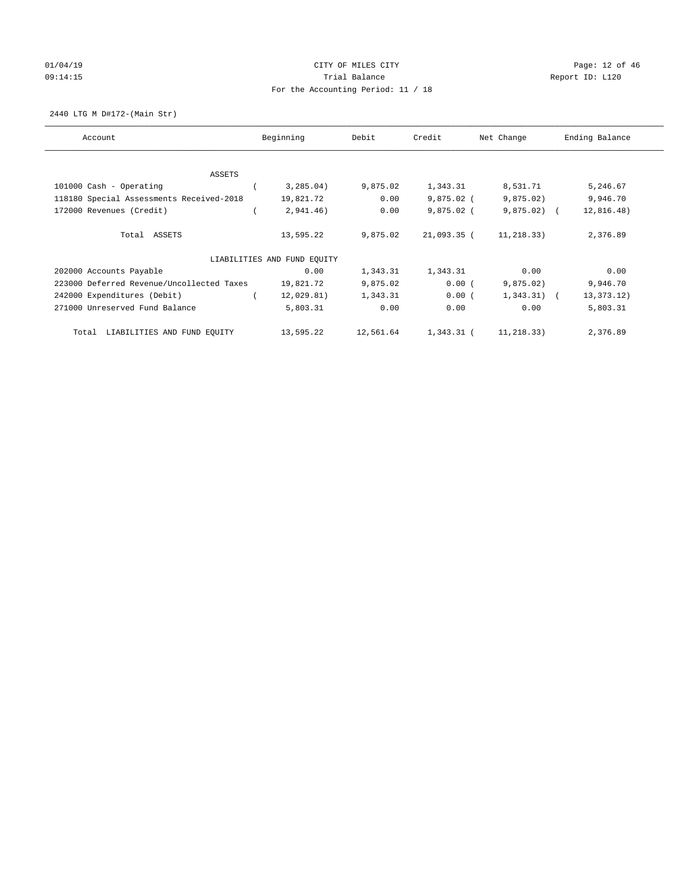# 01/04/19 CITY OF MILES CITY CHECK CITY CHECK Page: 12 of 46 09:14:15 **Trial Balance Constanting Trial Balance Report ID:** L120 For the Accounting Period: 11 / 18

2440 LTG M D#172-(Main Str)

| Account                                   | Beginning |                             | Debit     | Credit       | Net Change    | Ending Balance |
|-------------------------------------------|-----------|-----------------------------|-----------|--------------|---------------|----------------|
|                                           |           |                             |           |              |               |                |
| ASSETS                                    |           |                             |           |              |               |                |
| 101000 Cash - Operating                   |           | 3,285.04)                   | 9,875.02  | 1,343.31     | 8,531.71      | 5,246.67       |
| 118180 Special Assessments Received-2018  |           | 19,821.72                   | 0.00      | $9,875.02$ ( | 9,875.02)     | 9,946.70       |
| 172000 Revenues (Credit)                  |           | 2,941.46)                   | 0.00      | $9,875.02$ ( | $9,875.02$ (  | 12,816.48)     |
| Total ASSETS                              |           | 13,595.22                   | 9,875.02  | 21,093.35 (  | 11,218.33)    | 2,376.89       |
|                                           |           | LIABILITIES AND FUND EOUITY |           |              |               |                |
| 202000 Accounts Payable                   |           | 0.00                        | 1,343.31  | 1,343.31     | 0.00          | 0.00           |
| 223000 Deferred Revenue/Uncollected Taxes |           | 19,821.72                   | 9,875.02  | 0.00(        | 9,875.02)     | 9,946.70       |
| 242000 Expenditures (Debit)               |           | 12,029.81)                  | 1,343.31  | 0.00(        | $1,343.31)$ ( | 13, 373. 12)   |
| 271000 Unreserved Fund Balance            |           | 5,803.31                    | 0.00      | 0.00         | 0.00          | 5,803.31       |
| LIABILITIES AND FUND EQUITY<br>Total      |           | 13,595.22                   | 12,561.64 | 1,343.31 (   | 11,218.33)    | 2,376.89       |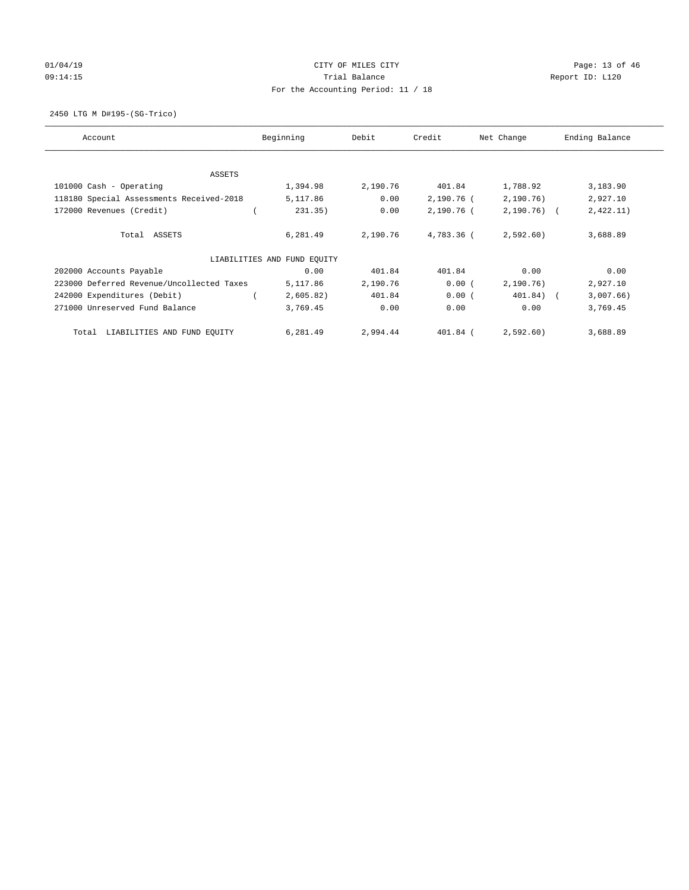# 01/04/19 CITY OF MILES CITY CHECK CITY CHECK Page: 13 of 46 09:14:15 **Trial Balance Constanting Trial Balance Report ID:** L120 For the Accounting Period: 11 / 18

2450 LTG M D#195-(SG-Trico)

| Account                                   | Beginning                   | Debit    | Credit     | Net Change   | Ending Balance |
|-------------------------------------------|-----------------------------|----------|------------|--------------|----------------|
|                                           |                             |          |            |              |                |
| ASSETS                                    |                             |          |            |              |                |
| 101000 Cash - Operating                   | 1,394.98                    | 2,190.76 | 401.84     | 1,788.92     | 3,183.90       |
| 118180 Special Assessments Received-2018  | 5,117.86                    | 0.00     | 2,190.76 ( | 2,190.76)    | 2,927.10       |
| 172000 Revenues (Credit)                  | 231.35)                     | 0.00     | 2,190.76 ( | $2,190.76$ ( | 2,422.11)      |
| Total ASSETS                              | 6,281.49                    | 2,190.76 | 4,783.36 ( | 2,592.60     | 3,688.89       |
|                                           | LIABILITIES AND FUND EOUITY |          |            |              |                |
| 202000 Accounts Payable                   | 0.00                        | 401.84   | 401.84     | 0.00         | 0.00           |
| 223000 Deferred Revenue/Uncollected Taxes | 5,117.86                    | 2,190.76 | 0.00(      | 2,190.76)    | 2,927.10       |
| 242000 Expenditures (Debit)               | 2,605.82)                   | 401.84   | 0.00(      | 401.84) (    | 3,007.66)      |
| 271000 Unreserved Fund Balance            | 3,769.45                    | 0.00     | 0.00       | 0.00         | 3,769.45       |
| LIABILITIES AND FUND EQUITY<br>Total      | 6,281.49                    | 2,994.44 | $401.84$ ( | 2,592.60)    | 3,688.89       |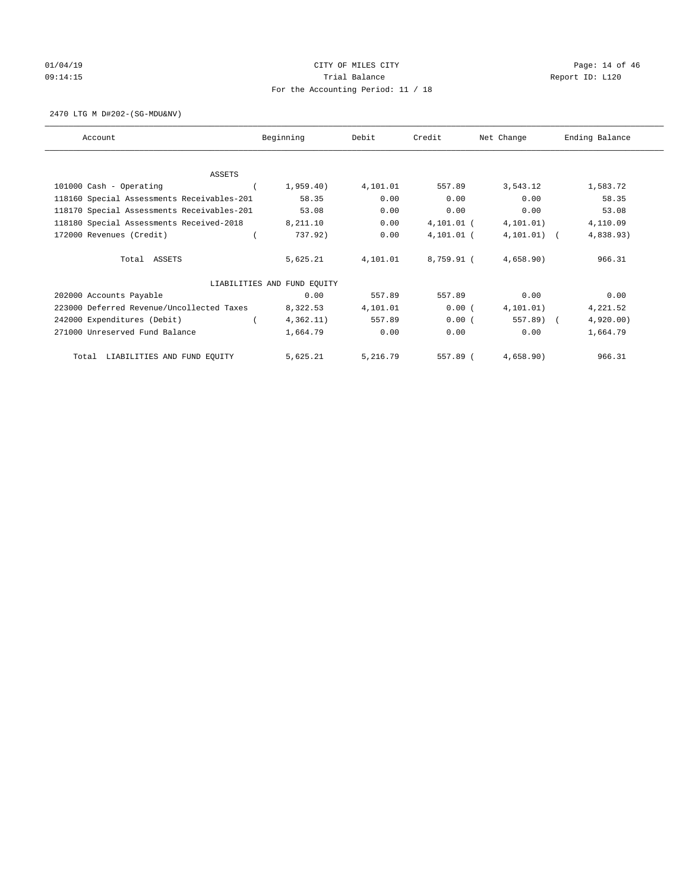# $CITY$  OF MILES  $CITY$  and the contract of 46 Page: 14 of 46 Page: 14 of 46 09:14:15 **Trial Balance Constanting Trial Balance Report ID:** L120 For the Accounting Period: 11 / 18

2470 LTG M D#202-(SG-MDU&NV)

| Account                                    | Beginning |                             | Debit    | Credit     | Net Change    | Ending Balance |
|--------------------------------------------|-----------|-----------------------------|----------|------------|---------------|----------------|
| ASSETS                                     |           |                             |          |            |               |                |
| 101000 Cash - Operating                    |           | 1,959.40)                   | 4,101.01 | 557.89     | 3,543.12      | 1,583.72       |
| 118160 Special Assessments Receivables-201 |           | 58.35                       | 0.00     | 0.00       | 0.00          | 58.35          |
| 118170 Special Assessments Receivables-201 |           | 53.08                       | 0.00     | 0.00       | 0.00          | 53.08          |
| 118180 Special Assessments Received-2018   |           | 8,211.10                    | 0.00     | 4,101.01 ( | 4, 101.01)    | 4,110.09       |
| 172000 Revenues (Credit)                   |           | 737.92)                     | 0.00     | 4,101.01 ( | $4,101.01)$ ( | 4,838.93)      |
| Total ASSETS                               |           | 5,625.21                    | 4,101.01 | 8,759.91 ( | 4,658.90)     | 966.31         |
|                                            |           | LIABILITIES AND FUND EQUITY |          |            |               |                |
| 202000 Accounts Payable                    |           | 0.00                        | 557.89   | 557.89     | 0.00          | 0.00           |
| 223000 Deferred Revenue/Uncollected Taxes  |           | 8,322.53                    | 4,101.01 | 0.00(      | 4, 101.01)    | 4,221.52       |
| 242000 Expenditures (Debit)                |           | 4,362.11)                   | 557.89   | 0.00(      | 557.89) (     | 4,920.00)      |
| 271000 Unreserved Fund Balance             |           | 1,664.79                    | 0.00     | 0.00       | 0.00          | 1,664.79       |
| LIABILITIES AND FUND EQUITY<br>Total       |           | 5,625.21                    | 5,216.79 | 557.89 (   | 4,658.90)     | 966.31         |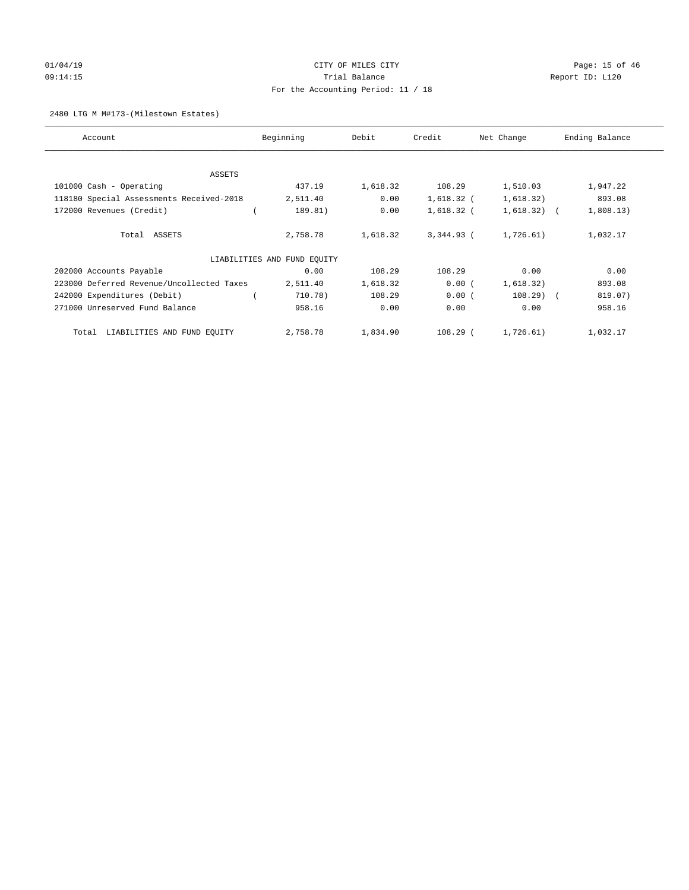# 01/04/19 CITY OF MILES CITY CHECK CITY CHECK CONTROL Page: 15 of 46 09:14:15 Trial Balance Report ID: L120 For the Accounting Period: 11 / 18

#### 2480 LTG M M#173-(Milestown Estates)

| Account                                   | Beginning<br>Debit          |          | Credit       | Net Change    | Ending Balance |
|-------------------------------------------|-----------------------------|----------|--------------|---------------|----------------|
|                                           |                             |          |              |               |                |
| ASSETS                                    |                             |          |              |               |                |
| 101000 Cash - Operating                   | 437.19                      | 1,618.32 | 108.29       | 1,510.03      | 1,947.22       |
| 118180 Special Assessments Received-2018  | 2,511.40                    | 0.00     | $1,618.32$ ( | 1,618.32)     | 893.08         |
| 172000 Revenues (Credit)                  | 189.81)                     | 0.00     | $1,618.32$ ( | $1,618.32)$ ( | 1,808.13)      |
| Total ASSETS                              | 2,758.78                    | 1,618.32 | $3,344.93$ ( | 1,726.61)     | 1,032.17       |
|                                           | LIABILITIES AND FUND EQUITY |          |              |               |                |
| 202000 Accounts Payable                   | 0.00                        | 108.29   | 108.29       | 0.00          | 0.00           |
| 223000 Deferred Revenue/Uncollected Taxes | 2,511.40                    | 1,618.32 | 0.00(        | 1,618.32)     | 893.08         |
| 242000 Expenditures (Debit)               | 710.78)                     | 108.29   | 0.00(        | $108.29$ (    | 819.07)        |
| 271000 Unreserved Fund Balance            | 958.16                      | 0.00     | 0.00         | 0.00          | 958.16         |
| LIABILITIES AND FUND EQUITY<br>Total      | 2,758.78                    | 1,834.90 | $108.29$ (   | 1,726.61)     | 1,032.17       |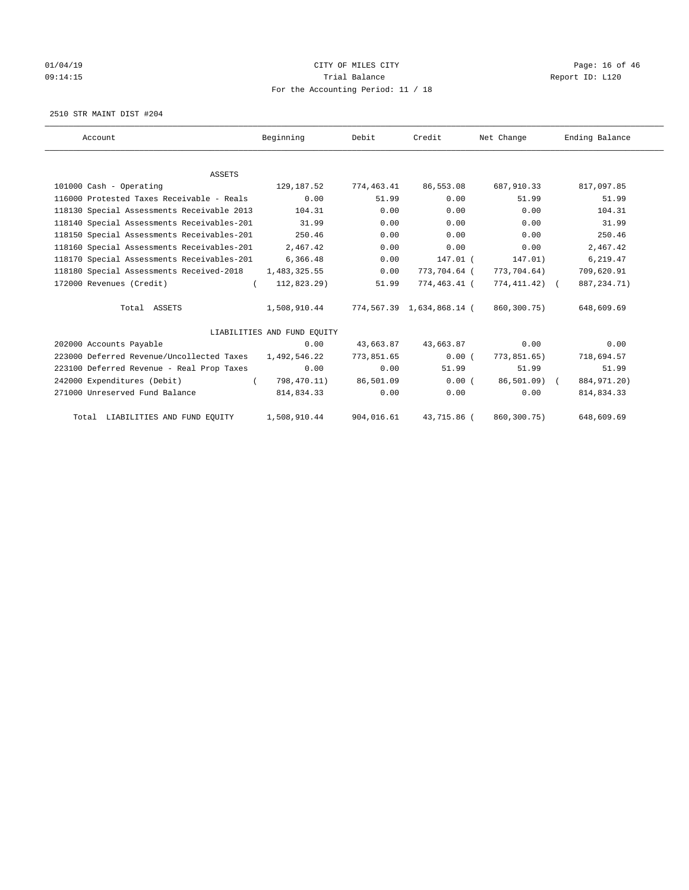# 01/04/19 **Page: 16 of 46** CITY OF MILES CITY 09:14:15 **Trial Balance Constanting Trial Balance Report ID:** L120 For the Accounting Period: 11 / 18

2510 STR MAINT DIST #204

| Account                                    | Beginning                   | Debit      | Credit                    | Net Change    | Ending Balance |
|--------------------------------------------|-----------------------------|------------|---------------------------|---------------|----------------|
|                                            |                             |            |                           |               |                |
| <b>ASSETS</b>                              |                             |            |                           |               |                |
| 101000 Cash - Operating                    | 129,187.52                  | 774,463.41 | 86,553.08                 | 687,910.33    | 817,097.85     |
| 116000 Protested Taxes Receivable - Reals  | 0.00                        | 51.99      | 0.00                      | 51.99         | 51.99          |
| 118130 Special Assessments Receivable 2013 | 104.31                      | 0.00       | 0.00                      | 0.00          | 104.31         |
| 118140 Special Assessments Receivables-201 | 31.99                       | 0.00       | 0.00                      | 0.00          | 31.99          |
| 118150 Special Assessments Receivables-201 | 250.46                      | 0.00       | 0.00                      | 0.00          | 250.46         |
| 118160 Special Assessments Receivables-201 | 2,467.42                    | 0.00       | 0.00                      | 0.00          | 2,467.42       |
| 118170 Special Assessments Receivables-201 | 6,366.48                    | 0.00       | 147.01 (                  | 147.01)       | 6,219.47       |
| 118180 Special Assessments Received-2018   | 1,483,325.55                | 0.00       | 773,704.64 (              | 773,704.64)   | 709,620.91     |
| 172000 Revenues (Credit)                   | $112,823.29$ )<br>$\left($  | 51.99      | 774,463.41 (              | 774,411.42) ( | 887, 234. 71)  |
| Total ASSETS                               | 1,508,910.44                |            | 774,567.39 1,634,868.14 ( | 860,300.75)   | 648,609.69     |
|                                            | LIABILITIES AND FUND EQUITY |            |                           |               |                |
| 202000 Accounts Payable                    | 0.00                        | 43,663.87  | 43,663.87                 | 0.00          | 0.00           |
| 223000 Deferred Revenue/Uncollected Taxes  | 1,492,546.22                | 773,851.65 | 0.00(                     | 773,851.65)   | 718,694.57     |
| 223100 Deferred Revenue - Real Prop Taxes  | 0.00                        | 0.00       | 51.99                     | 51.99         | 51.99          |
| 242000 Expenditures (Debit)                | $\sqrt{2}$<br>798,470.11)   | 86,501.09  | 0.00(                     | 86,501.09) (  | 884, 971. 20)  |
| 271000 Unreserved Fund Balance             | 814,834.33                  | 0.00       | 0.00                      | 0.00          | 814,834.33     |
| Total LIABILITIES AND FUND EQUITY          | 1,508,910.44                | 904,016.61 | 43,715.86 (               | 860,300.75)   | 648,609.69     |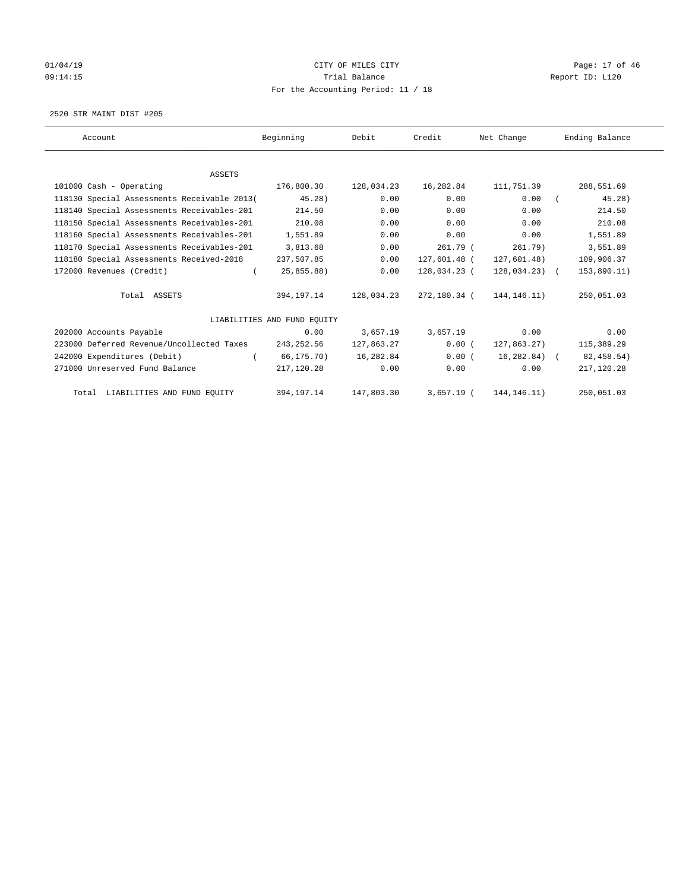# 01/04/19 CITY OF MILES CITY CHECK CITY CHECK Page: 17 of 46 09:14:15 **Trial Balance Constanting Trial Balance Report ID:** L120 For the Accounting Period: 11 / 18

2520 STR MAINT DIST #205

| Account                                     | Beginning                   | Debit      | Credit       | Net Change     | Ending Balance |
|---------------------------------------------|-----------------------------|------------|--------------|----------------|----------------|
|                                             |                             |            |              |                |                |
| ASSETS                                      |                             |            |              |                |                |
| 101000 Cash - Operating                     | 176,800.30                  | 128,034.23 | 16,282.84    | 111,751.39     | 288,551.69     |
| 118130 Special Assessments Receivable 2013( | $45.28$ )                   | 0.00       | 0.00         | 0.00           | 45.28          |
| 118140 Special Assessments Receivables-201  | 214.50                      | 0.00       | 0.00         | 0.00           | 214.50         |
| 118150 Special Assessments Receivables-201  | 210.08                      | 0.00       | 0.00         | 0.00           | 210.08         |
| 118160 Special Assessments Receivables-201  | 1,551.89                    | 0.00       | 0.00         | 0.00           | 1,551.89       |
| 118170 Special Assessments Receivables-201  | 3,813.68                    | 0.00       | 261.79 (     | 261.79)        | 3,551.89       |
| 118180 Special Assessments Received-2018    | 237,507.85                  | 0.00       | 127,601.48 ( | 127,601.48)    | 109,906.37     |
| 172000 Revenues (Credit)<br>$\left($        | 25,855.88)                  | 0.00       | 128,034.23 ( | $128,034.23$ ( | 153,890.11)    |
| Total ASSETS                                | 394,197.14                  | 128,034.23 | 272,180.34 ( | 144, 146. 11)  | 250,051.03     |
|                                             | LIABILITIES AND FUND EOUITY |            |              |                |                |
| 202000 Accounts Payable                     | 0.00                        | 3,657.19   | 3,657.19     | 0.00           | 0.00           |
| 223000 Deferred Revenue/Uncollected Taxes   | 243,252.56                  | 127,863.27 | 0.00(        | 127,863.27)    | 115,389.29     |
| 242000 Expenditures (Debit)                 | 66,175.70)                  | 16,282.84  | 0.00(        | 16,282.84) (   | 82, 458.54)    |
| 271000 Unreserved Fund Balance              | 217,120.28                  | 0.00       | 0.00         | 0.00           | 217,120.28     |
| Total LIABILITIES AND FUND EQUITY           | 394,197.14                  | 147,803.30 | $3,657.19$ ( | 144, 146. 11)  | 250,051.03     |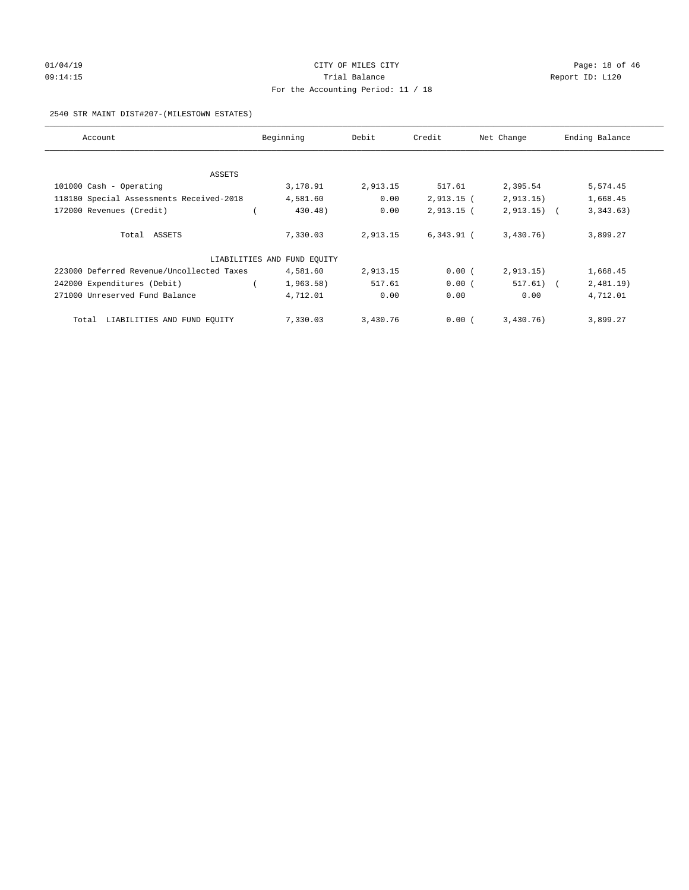# 01/04/19 CITY OF MILES CITY CHECK CITY CHECK CONTROL Page: 18 of 46 09:14:15 **Trial Balance Constanting Trial Balance Report ID:** L120 For the Accounting Period: 11 / 18

#### 2540 STR MAINT DIST#207-(MILESTOWN ESTATES)

| Account                                   | Beginning                   | Debit    | Credit       | Net Change   | Ending Balance |
|-------------------------------------------|-----------------------------|----------|--------------|--------------|----------------|
|                                           |                             |          |              |              |                |
| ASSETS                                    |                             |          |              |              |                |
| 101000 Cash - Operating                   | 3,178.91                    | 2,913.15 | 517.61       | 2,395.54     | 5,574.45       |
| 118180 Special Assessments Received-2018  | 4,581.60                    | 0.00     | $2,913.15$ ( | 2,913.15)    | 1,668.45       |
| 172000 Revenues (Credit)                  | 430.48)                     | 0.00     | $2,913.15$ ( | $2,913.15$ ( | 3,343.63)      |
|                                           |                             |          |              |              |                |
| Total ASSETS                              | 7,330.03                    | 2,913.15 | $6,343.91$ ( | 3,430.76)    | 3,899.27       |
|                                           |                             |          |              |              |                |
|                                           | LIABILITIES AND FUND EQUITY |          |              |              |                |
| 223000 Deferred Revenue/Uncollected Taxes | 4,581.60                    | 2,913.15 | 0.00(        | 2, 913.15)   | 1,668.45       |
| 242000 Expenditures (Debit)               | 1,963.58)                   | 517.61   | 0.00(        | $517.61)$ (  | 2,481.19)      |
| 271000 Unreserved Fund Balance            | 4,712.01                    | 0.00     | 0.00         | 0.00         | 4,712.01       |
|                                           |                             |          |              |              |                |
| LIABILITIES AND FUND EQUITY<br>Total      | 7,330.03                    | 3,430.76 | 0.00(        | 3,430.76)    | 3,899.27       |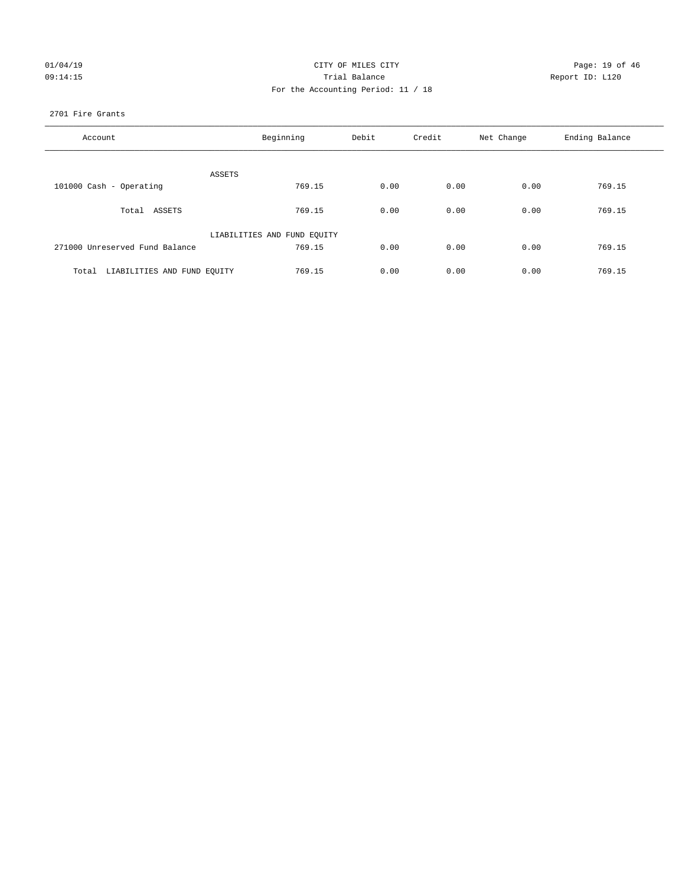### 01/04/19 CITY OF MILES CITY CHECK CONTROL CITY Page: 19 of 46 09:14:15 **Trial Balance Constanting Trial Balance Report ID:** L120 For the Accounting Period: 11 / 18

#### 2701 Fire Grants

| Account                           | Beginning                   | Debit | Credit | Net Change | Ending Balance |
|-----------------------------------|-----------------------------|-------|--------|------------|----------------|
| ASSETS                            |                             |       |        |            |                |
| 101000 Cash - Operating           | 769.15                      | 0.00  | 0.00   | 0.00       | 769.15         |
| Total ASSETS                      | 769.15                      | 0.00  | 0.00   | 0.00       | 769.15         |
|                                   | LIABILITIES AND FUND EQUITY |       |        |            |                |
| 271000 Unreserved Fund Balance    | 769.15                      | 0.00  | 0.00   | 0.00       | 769.15         |
| Total LIABILITIES AND FUND EQUITY | 769.15                      | 0.00  | 0.00   | 0.00       | 769.15         |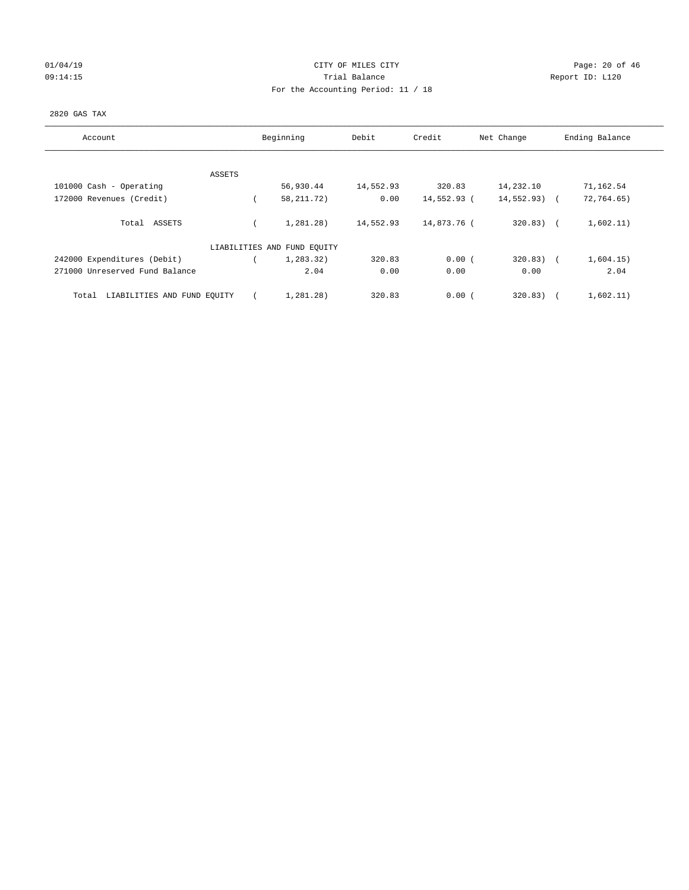# 01/04/19 **Page: 20 of 46** CITY OF MILES CITY 09:14:15 COMPOSERT TRIAL BALANCE Report ID: L120 For the Accounting Period: 11 / 18

#### 2820 GAS TAX

| Account                              | Beginning                   | Debit     | Credit      | Net Change    | Ending Balance |
|--------------------------------------|-----------------------------|-----------|-------------|---------------|----------------|
| ASSETS                               |                             |           |             |               |                |
| 101000 Cash - Operating              | 56,930.44                   | 14,552.93 | 320.83      | 14,232.10     | 71,162.54      |
| 172000 Revenues (Credit)             | 58, 211. 72)                | 0.00      | 14,552.93 ( | $14,552.93$ ( | 72,764.65)     |
| Total ASSETS                         | 1,281.28)                   | 14,552.93 | 14,873.76 ( | $320.83)$ (   | 1,602.11)      |
|                                      | LIABILITIES AND FUND EQUITY |           |             |               |                |
| 242000 Expenditures (Debit)          | 1,283.32)                   | 320.83    | 0.00(       | $320.83)$ (   | 1,604.15)      |
| 271000 Unreserved Fund Balance       | 2.04                        | 0.00      | 0.00        | 0.00          | 2.04           |
| LIABILITIES AND FUND EQUITY<br>Total | 1,281.28)                   | 320.83    | 0.00(       | 320.83)       | 1,602.11)      |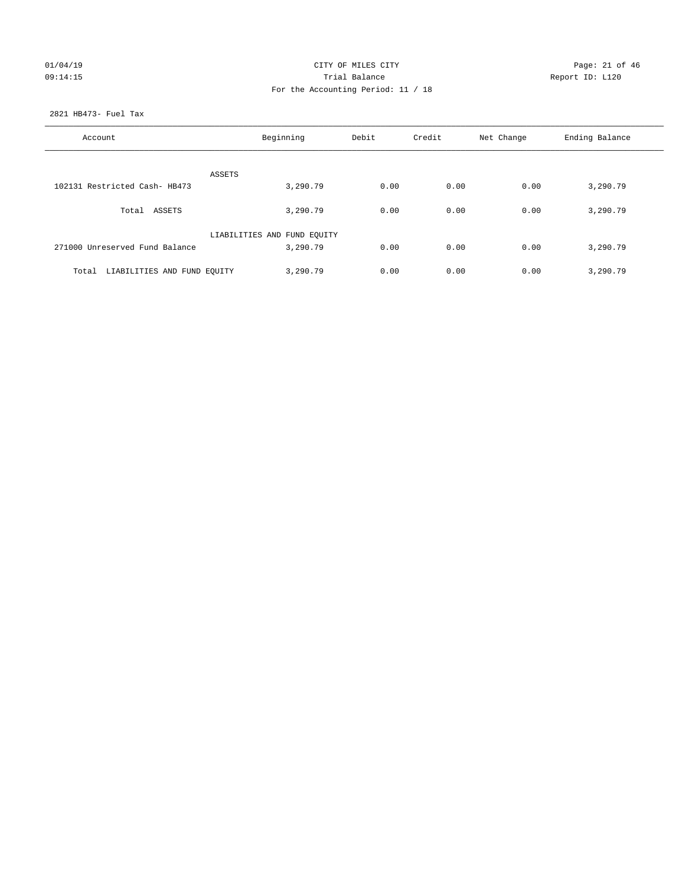## $CITY$  OF MILES  $CITY$  and the contract of  $P46$ 09:14:15 **Trial Balance Constanting Trial Balance Report ID:** L120 For the Accounting Period: 11 / 18

2821 HB473- Fuel Tax

| Account                              | Beginning                   |      | Credit | Net Change | Ending Balance |
|--------------------------------------|-----------------------------|------|--------|------------|----------------|
| ASSETS                               |                             |      |        |            |                |
| 102131 Restricted Cash- HB473        | 3,290.79                    | 0.00 | 0.00   | 0.00       | 3,290.79       |
| Total ASSETS                         | 3,290.79                    | 0.00 | 0.00   | 0.00       | 3,290.79       |
|                                      | LIABILITIES AND FUND EQUITY |      |        |            |                |
| 271000 Unreserved Fund Balance       | 3,290.79                    | 0.00 | 0.00   | 0.00       | 3,290.79       |
| LIABILITIES AND FUND EOUITY<br>Total | 3,290.79                    | 0.00 | 0.00   | 0.00       | 3,290.79       |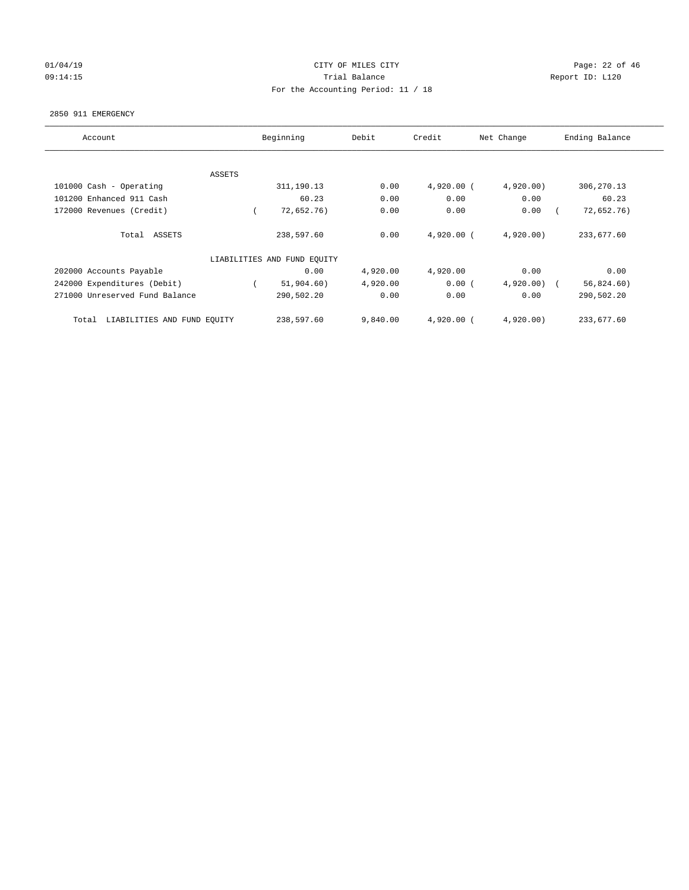## 01/04/19 **Page: 22 of 46** CITY OF MILES CITY 09:14:15 **Trial Balance Constanting Trial Balance Report ID:** L120 For the Accounting Period: 11 / 18

#### 2850 911 EMERGENCY

| Account                              | Beginning |                             | Debit    | Credit<br>Net Change |           | Ending Balance |
|--------------------------------------|-----------|-----------------------------|----------|----------------------|-----------|----------------|
|                                      |           |                             |          |                      |           |                |
| <b>ASSETS</b>                        |           |                             |          |                      |           |                |
| 101000 Cash - Operating              |           | 311,190.13                  | 0.00     | $4,920.00$ (         | 4,920.00  | 306,270.13     |
| 101200 Enhanced 911 Cash             |           | 60.23                       | 0.00     | 0.00                 | 0.00      | 60.23          |
| 172000 Revenues (Credit)             |           | 72,652.76)                  | 0.00     | 0.00                 | 0.00      | 72,652.76)     |
| Total ASSETS                         |           | 238,597.60                  | 0.00     | $4,920.00$ (         | 4,920.00  | 233,677.60     |
|                                      |           | LIABILITIES AND FUND EQUITY |          |                      |           |                |
| 202000 Accounts Payable              |           | 0.00                        | 4,920.00 | 4,920.00             | 0.00      | 0.00           |
| 242000 Expenditures (Debit)          |           | 51,904.60)                  | 4,920.00 | 0.00(                | 4,920.00  | 56,824.60)     |
| 271000 Unreserved Fund Balance       |           | 290,502.20                  | 0.00     | 0.00                 | 0.00      | 290,502.20     |
| LIABILITIES AND FUND EQUITY<br>Total |           | 238,597.60                  | 9,840.00 | 4,920.00 (           | 4,920.00) | 233,677.60     |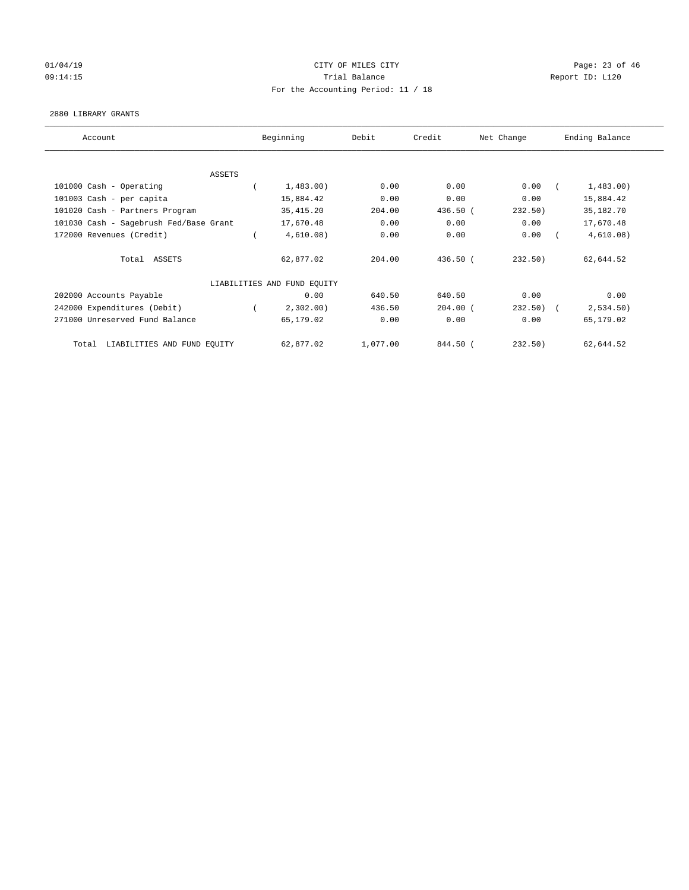# 01/04/19 **Page: 23 of 46** CITY OF MILES CITY 09:14:15 COMPOSERT TRIAL BALANCE Report ID: L120 For the Accounting Period: 11 / 18

#### 2880 LIBRARY GRANTS

| Account                                | Beginning                   | Debit    | Credit     | Net Change | Ending Balance |
|----------------------------------------|-----------------------------|----------|------------|------------|----------------|
|                                        |                             |          |            |            |                |
| ASSETS                                 |                             |          |            |            |                |
| 101000 Cash - Operating                | 1,483.00                    | 0.00     | 0.00       | 0.00       | 1,483.00)      |
| 101003 Cash - per capita               | 15,884.42                   | 0.00     | 0.00       | 0.00       | 15,884.42      |
| 101020 Cash - Partners Program         | 35, 415.20                  | 204.00   | 436.50 (   | 232.50)    | 35,182.70      |
| 101030 Cash - Sagebrush Fed/Base Grant | 17,670.48                   | 0.00     | 0.00       | 0.00       | 17,670.48      |
| 172000 Revenues (Credit)               | 4,610.08)                   | 0.00     | 0.00       | 0.00       | 4,610.08)      |
| Total ASSETS                           | 62,877.02                   | 204.00   | 436.50(    | 232.50)    | 62,644.52      |
|                                        | LIABILITIES AND FUND EQUITY |          |            |            |                |
| 202000 Accounts Payable                | 0.00                        | 640.50   | 640.50     | 0.00       | 0.00           |
| 242000 Expenditures (Debit)            | 2,302.00)                   | 436.50   | $204.00$ ( | $232.50$ ( | 2,534.50)      |
| 271000 Unreserved Fund Balance         | 65,179.02                   | 0.00     | 0.00       | 0.00       | 65,179.02      |
| LIABILITIES AND FUND EQUITY<br>Total   | 62,877.02                   | 1,077.00 | 844.50 (   | 232.50)    | 62,644.52      |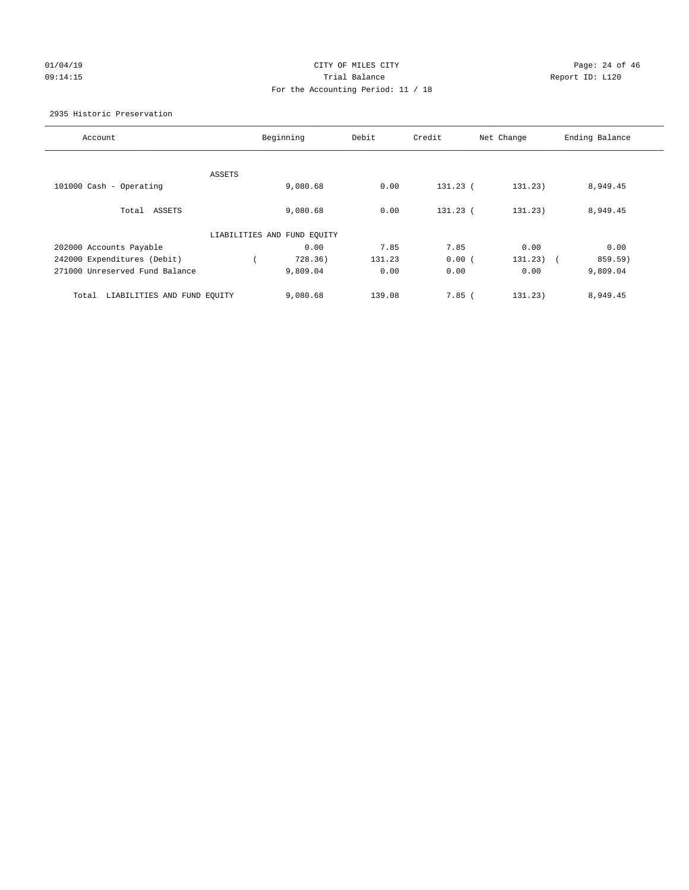## 01/04/19 CITY OF MILES CITY CHECK CONTROL CONTROL Page: 24 of 46 09:14:15 Trial Balance Report ID: L120 For the Accounting Period: 11 / 18

2935 Historic Preservation

| Account                              | Beginning                   | Debit  | Credit     | Net Change  | Ending Balance |
|--------------------------------------|-----------------------------|--------|------------|-------------|----------------|
|                                      |                             |        |            |             |                |
|                                      | ASSETS                      |        |            |             |                |
| 101000 Cash - Operating              | 9,080.68                    | 0.00   | $131.23$ ( | 131.23)     | 8,949.45       |
|                                      |                             |        |            |             |                |
| Total ASSETS                         | 9,080.68                    | 0.00   | 131.23 (   | 131.23)     | 8,949.45       |
|                                      | LIABILITIES AND FUND EQUITY |        |            |             |                |
| 202000 Accounts Payable              | 0.00                        | 7.85   | 7.85       | 0.00        | 0.00           |
| 242000 Expenditures (Debit)          | 728.36)                     | 131.23 | 0.00(      | $131.23)$ ( | 859.59)        |
| 271000 Unreserved Fund Balance       | 9,809.04                    | 0.00   | 0.00       | 0.00        | 9,809.04       |
| LIABILITIES AND FUND EQUITY<br>Total | 9,080.68                    | 139.08 | 7.85(      | 131.23)     | 8,949.45       |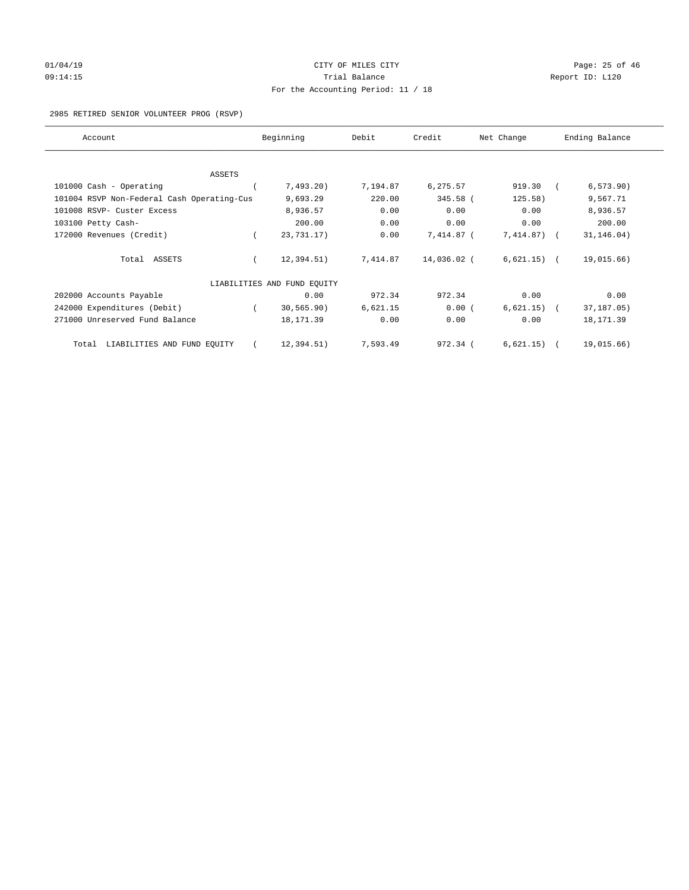# $O1/04/19$  Page: 25 of 46 09:14:15 COMPOSERT TRIAL BALANCE Report ID: L120 For the Accounting Period: 11 / 18

2985 RETIRED SENIOR VOLUNTEER PROG (RSVP)

| Account                                    | Beginning                   | Debit    | Credit      | Net Change    | Ending Balance |
|--------------------------------------------|-----------------------------|----------|-------------|---------------|----------------|
|                                            |                             |          |             |               |                |
| ASSETS                                     |                             |          |             |               |                |
| 101000 Cash - Operating                    | 7,493.20                    | 7,194.87 | 6,275.57    | 919.30        | 6, 573.90)     |
| 101004 RSVP Non-Federal Cash Operating-Cus | 9,693.29                    | 220.00   | 345.58 (    | 125.58)       | 9,567.71       |
| 101008 RSVP- Custer Excess                 | 8,936.57                    | 0.00     | 0.00        | 0.00          | 8,936.57       |
| 103100 Petty Cash-                         | 200.00                      | 0.00     | 0.00        | 0.00          | 200.00         |
| 172000 Revenues (Credit)                   | 23,731.17)                  | 0.00     | 7,414.87 (  | 7,414.87)     | 31, 146.04)    |
| Total ASSETS                               | 12, 394.51)                 | 7,414.87 | 14,036.02 ( | $6,621.15)$ ( | 19,015.66)     |
|                                            | LIABILITIES AND FUND EQUITY |          |             |               |                |
| 202000 Accounts Payable                    | 0.00                        | 972.34   | 972.34      | 0.00          | 0.00           |
| 242000 Expenditures (Debit)                | 30, 565.90)                 | 6,621.15 | 0.00(       | 6,621.15)     | 37,187.05)     |
| 271000 Unreserved Fund Balance             | 18, 171.39                  | 0.00     | 0.00        | 0.00          | 18,171.39      |
| LIABILITIES AND FUND EQUITY<br>Total       | 12,394.51)                  | 7,593.49 | 972.34 (    | 6,621.15)     | 19,015.66)     |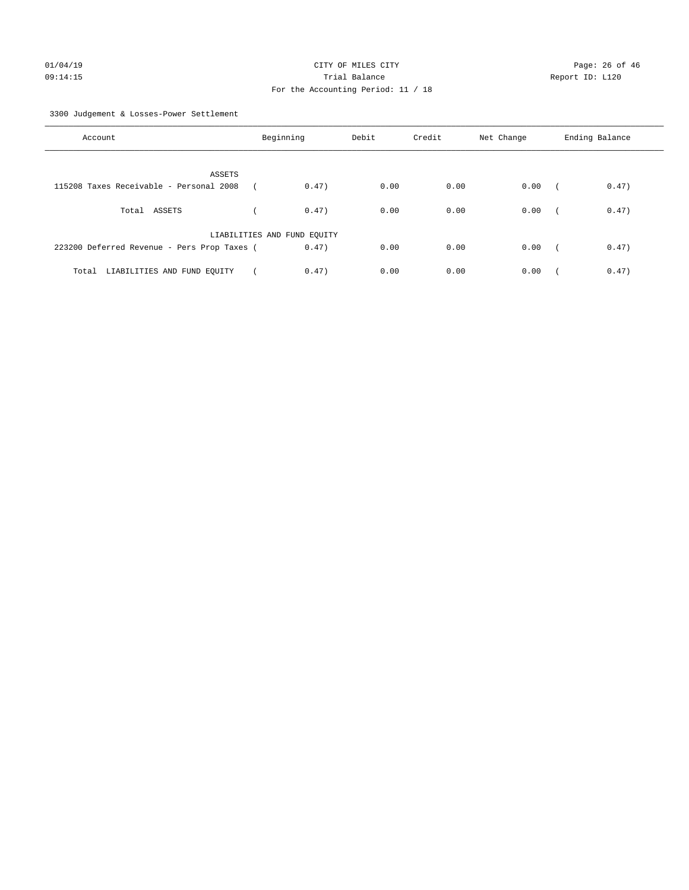3300 Judgement & Losses-Power Settlement

| Account                                     | Beginning                   | Debit | Credit | Net Change | Ending Balance      |
|---------------------------------------------|-----------------------------|-------|--------|------------|---------------------|
| ASSETS                                      |                             |       |        |            |                     |
| 115208 Taxes Receivable - Personal 2008     | 0.47)                       | 0.00  | 0.00   | 0.00       | 0.47)<br>$\sqrt{2}$ |
| Total ASSETS                                | 0.47)                       | 0.00  | 0.00   | 0.00       | 0.47)<br>$\sim$     |
|                                             | LIABILITIES AND FUND EQUITY |       |        |            |                     |
| 223200 Deferred Revenue - Pers Prop Taxes ( | 0.47)                       | 0.00  | 0.00   | 0.00       | 0.47)<br>$\sqrt{2}$ |
| LIABILITIES AND FUND EQUITY<br>Total        | 0.47)                       | 0.00  | 0.00   | 0.00       | 0.47)               |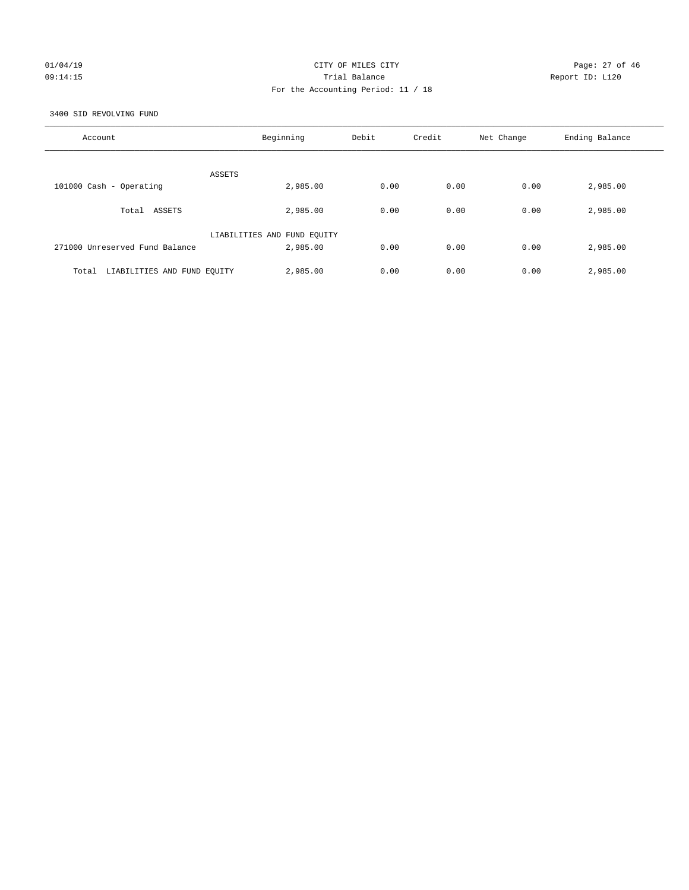### 01/04/19 **Page: 27 of 46** CITY OF MILES CITY 09:14:15 Trial Balance Report ID: L120 For the Accounting Period: 11 / 18

3400 SID REVOLVING FUND

| Account                              | Beginning                   | Debit | Credit | Net Change | Ending Balance |
|--------------------------------------|-----------------------------|-------|--------|------------|----------------|
| ASSETS                               |                             |       |        |            |                |
| 101000 Cash - Operating              | 2,985.00                    | 0.00  | 0.00   | 0.00       | 2,985.00       |
| ASSETS<br>Total                      | 2,985.00                    | 0.00  | 0.00   | 0.00       | 2,985.00       |
|                                      | LIABILITIES AND FUND EQUITY |       |        |            |                |
| 271000 Unreserved Fund Balance       | 2,985.00                    | 0.00  | 0.00   | 0.00       | 2,985.00       |
| LIABILITIES AND FUND EQUITY<br>Total | 2,985.00                    | 0.00  | 0.00   | 0.00       | 2,985.00       |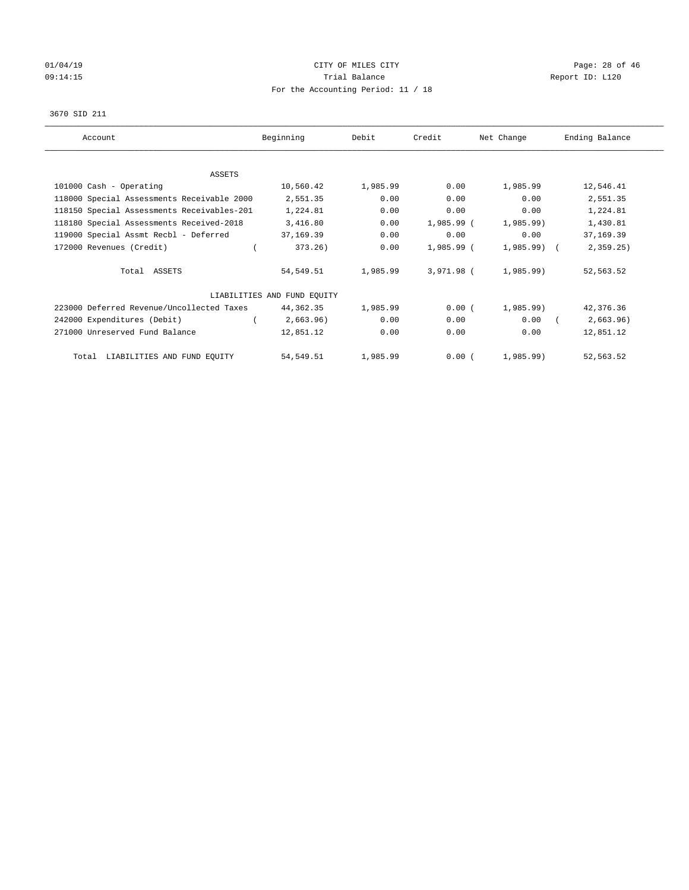# 01/04/19 **Page: 28 of 46** CITY OF MILES CITY 09:14:15 **Trial Balance Constanting Trial Balance Report ID:** L120 For the Accounting Period: 11 / 18

#### 3670 SID 211

| Account                                    | Beginning                   | Debit    | Credit     | Net Change   | Ending Balance |
|--------------------------------------------|-----------------------------|----------|------------|--------------|----------------|
| ASSETS                                     |                             |          |            |              |                |
| 101000 Cash - Operating                    | 10,560.42                   | 1,985.99 | 0.00       | 1,985.99     | 12,546.41      |
| 118000 Special Assessments Receivable 2000 | 2,551.35                    | 0.00     | 0.00       | 0.00         | 2,551.35       |
| 118150 Special Assessments Receivables-201 | 1,224.81                    | 0.00     | 0.00       | 0.00         | 1,224.81       |
| 118180 Special Assessments Received-2018   | 3,416.80                    | 0.00     | 1,985.99 ( | 1,985.99)    | 1,430.81       |
| 119000 Special Assmt Recbl - Deferred      | 37,169.39                   | 0.00     | 0.00       | 0.00         | 37,169.39      |
| 172000 Revenues (Credit)                   | 373.26)                     | 0.00     | 1,985.99 ( | $1,985.99$ ( | 2, 359.25      |
| Total ASSETS                               | 54,549.51                   | 1,985.99 | 3,971.98 ( | 1,985.99)    | 52,563.52      |
|                                            | LIABILITIES AND FUND EQUITY |          |            |              |                |
| 223000 Deferred Revenue/Uncollected Taxes  | 44,362.35                   | 1,985.99 | 0.00(      | $1,985.99$ ) | 42,376.36      |
| 242000 Expenditures (Debit)                | 2,663.96)                   | 0.00     | 0.00       | 0.00         | 2,663.96)      |
| 271000 Unreserved Fund Balance             | 12,851.12                   | 0.00     | 0.00       | 0.00         | 12,851.12      |
| Total LIABILITIES AND FUND EQUITY          | 54,549.51                   | 1,985.99 | 0.00(      | $1,985.99$ ) | 52,563.52      |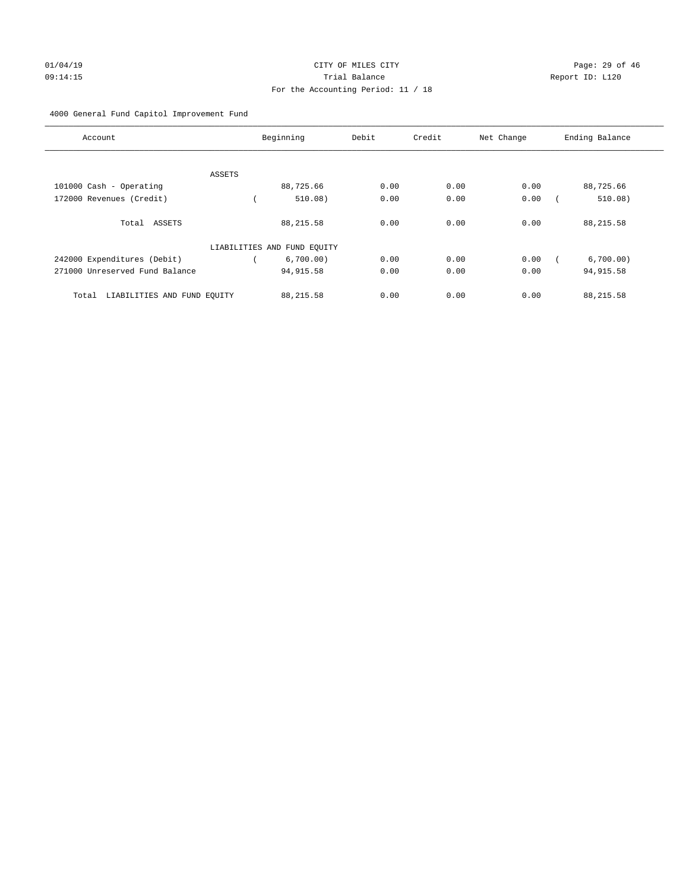# 01/04/19 **Page: 29 of 46** CITY OF MILES CITY 09:14:15 Trial Balance Report ID: L120 For the Accounting Period: 11 / 18

#### 4000 General Fund Capitol Improvement Fund

| Account                              |               | Beginning                   | Debit | Credit | Net Change | Ending Balance |
|--------------------------------------|---------------|-----------------------------|-------|--------|------------|----------------|
|                                      |               |                             |       |        |            |                |
|                                      | <b>ASSETS</b> |                             |       |        |            |                |
| 101000 Cash - Operating              |               | 88,725.66                   | 0.00  | 0.00   | 0.00       | 88,725.66      |
| 172000 Revenues (Credit)             |               | 510.08)                     | 0.00  | 0.00   | 0.00       | 510.08)        |
| Total ASSETS                         |               | 88, 215.58                  | 0.00  | 0.00   | 0.00       | 88, 215.58     |
|                                      |               | LIABILITIES AND FUND EQUITY |       |        |            |                |
| 242000 Expenditures (Debit)          |               | 6,700.00)                   | 0.00  | 0.00   | 0.00       | 6,700.00)      |
| 271000 Unreserved Fund Balance       |               | 94, 915.58                  | 0.00  | 0.00   | 0.00       | 94, 915.58     |
| LIABILITIES AND FUND EQUITY<br>Total |               | 88, 215.58                  | 0.00  | 0.00   | 0.00       | 88,215.58      |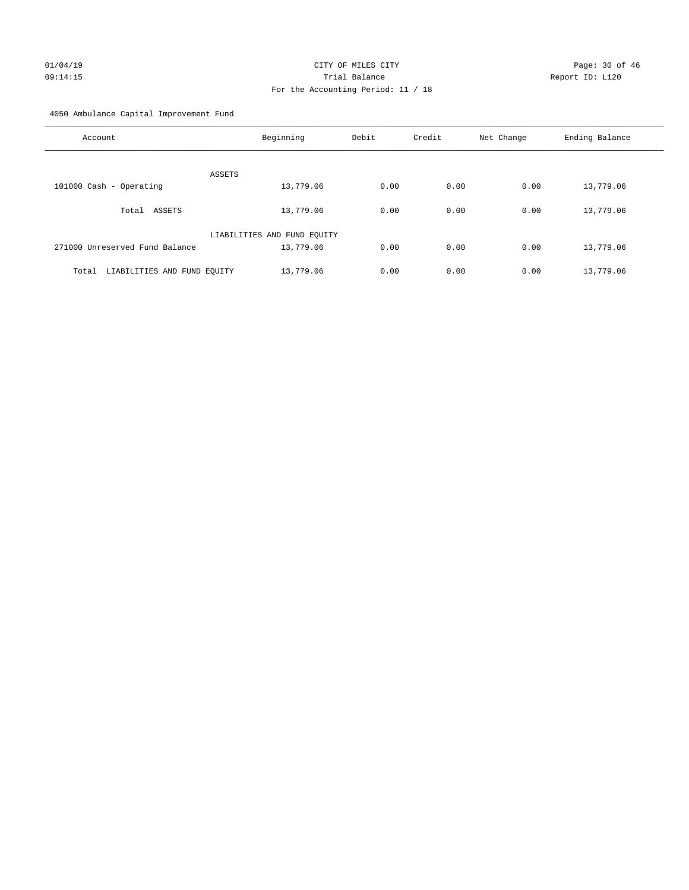# 01/04/19 **Page: 30 of 46 CITY OF MILES CITY Page: 30 of 46** 09:14:15 Trial Balance Report ID: L120 For the Accounting Period: 11 / 18

4050 Ambulance Capital Improvement Fund

| Account                              | Beginning                   | Debit | Credit | Net Change | Ending Balance |
|--------------------------------------|-----------------------------|-------|--------|------------|----------------|
| ASSETS                               |                             |       |        |            |                |
| 101000 Cash - Operating              | 13,779.06                   | 0.00  | 0.00   | 0.00       | 13,779.06      |
| ASSETS<br>Total                      | 13,779.06                   | 0.00  | 0.00   | 0.00       | 13,779.06      |
|                                      | LIABILITIES AND FUND EQUITY |       |        |            |                |
| 271000 Unreserved Fund Balance       | 13,779.06                   | 0.00  | 0.00   | 0.00       | 13,779.06      |
| LIABILITIES AND FUND EQUITY<br>Total | 13,779.06                   | 0.00  | 0.00   | 0.00       | 13,779.06      |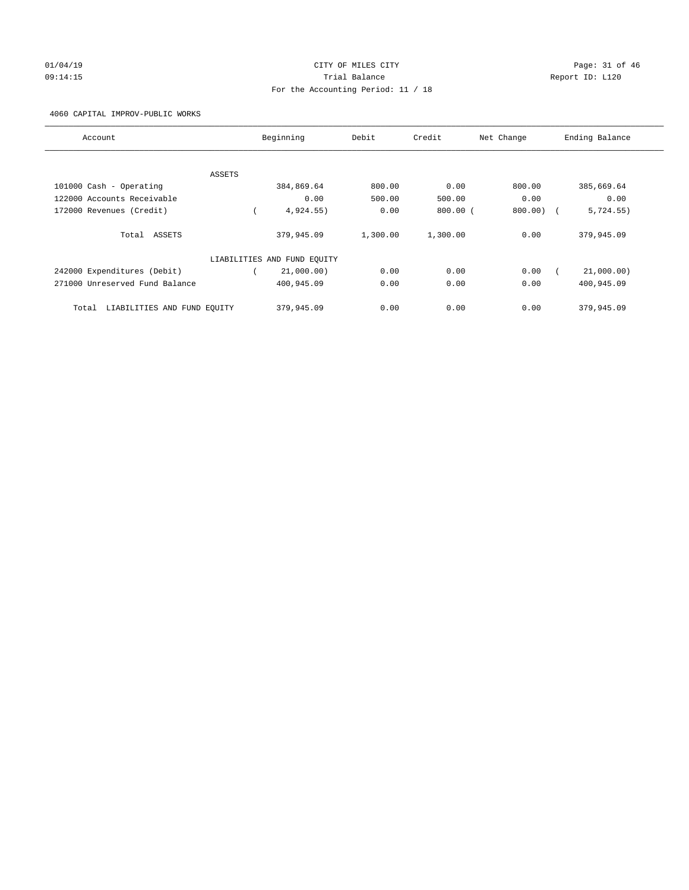# $CITY$  OF MILES  $CITY$  and the contract of  $P46$ 09:14:15 Trial Balance Report ID: L120 For the Accounting Period: 11 / 18

4060 CAPITAL IMPROV-PUBLIC WORKS

| Account                              | Beginning                   | Debit    | Credit     | Net Change | Ending Balance |
|--------------------------------------|-----------------------------|----------|------------|------------|----------------|
|                                      |                             |          |            |            |                |
| ASSETS                               |                             |          |            |            |                |
| 101000 Cash - Operating              | 384,869.64                  | 800.00   | 0.00       | 800.00     | 385,669.64     |
| 122000 Accounts Receivable           | 0.00                        | 500.00   | 500.00     | 0.00       | 0.00           |
| 172000 Revenues (Credit)             | 4,924.55)                   | 0.00     | $800.00$ ( | 800.00     | 5,724.55)      |
| ASSETS<br>Total                      | 379,945.09                  | 1,300.00 | 1,300.00   | 0.00       | 379,945.09     |
|                                      | LIABILITIES AND FUND EQUITY |          |            |            |                |
| 242000 Expenditures (Debit)          | 21,000.00)                  | 0.00     | 0.00       | 0.00       | 21,000.00)     |
| 271000 Unreserved Fund Balance       | 400,945.09                  | 0.00     | 0.00       | 0.00       | 400,945.09     |
| LIABILITIES AND FUND EQUITY<br>Total | 379,945.09                  | 0.00     | 0.00       | 0.00       | 379,945.09     |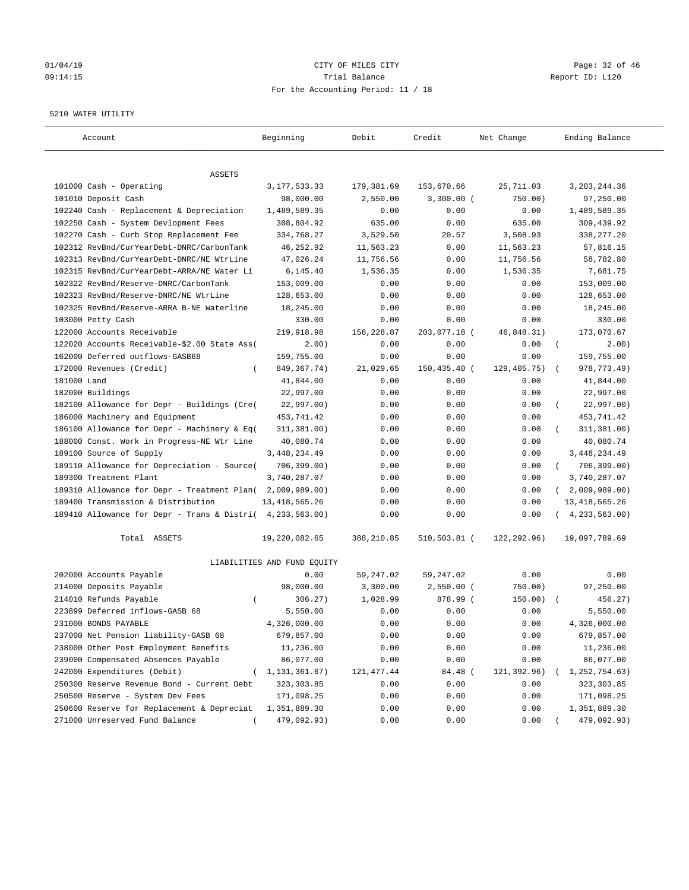# 01/04/19 **Page: 32 of 46 CITY OF MILES CITY Page: 32 of 46** 09:14:15 Trial Balance Report ID: L120 For the Accounting Period: 11 / 18

#### 5210 WATER UTILITY

| Account                                                   | Beginning                   | Debit       | Credit       | Net Change   | Ending Balance             |
|-----------------------------------------------------------|-----------------------------|-------------|--------------|--------------|----------------------------|
|                                                           |                             |             |              |              |                            |
| ASSETS<br>101000 Cash - Operating                         |                             |             |              |              |                            |
|                                                           | 3, 177, 533.33              | 179,381.69  | 153,670.66   | 25,711.03    | 3, 203, 244.36             |
| 101010 Deposit Cash                                       | 98,000.00                   | 2,550.00    | $3,300.00$ ( | 750.00)      | 97,250.00                  |
| 102240 Cash - Replacement & Depreciation                  | 1,489,589.35                | 0.00        | 0.00         | 0.00         | 1,489,589.35               |
| 102250 Cash - System Devlopment Fees                      | 308,804.92                  | 635.00      | 0.00         | 635.00       | 309,439.92                 |
| 102270 Cash - Curb Stop Replacement Fee                   | 334,768.27                  | 3,529.50    | 20.57        | 3,508.93     | 338,277.20                 |
| 102312 RevBnd/CurYearDebt-DNRC/CarbonTank                 | 46,252.92                   | 11,563.23   | 0.00         | 11,563.23    | 57,816.15                  |
| 102313 RevBnd/CurYearDebt-DNRC/NE WtrLine                 | 47,026.24                   | 11,756.56   | 0.00         | 11,756.56    | 58,782.80                  |
| 102315 RevBnd/CurYearDebt-ARRA/NE Water Li                | 6,145.40                    | 1,536.35    | 0.00         | 1,536.35     | 7,681.75                   |
| 102322 RevBnd/Reserve-DNRC/CarbonTank                     | 153,009.00                  | 0.00        | 0.00         | 0.00         | 153,009.00                 |
| 102323 RevBnd/Reserve-DNRC/NE WtrLine                     | 128,653.00                  | 0.00        | 0.00         | 0.00         | 128,653.00                 |
| 102325 RevBnd/Reserve-ARRA B-NE Waterline                 | 18,245.00                   | 0.00        | 0.00         | 0.00         | 18,245.00                  |
| 103000 Petty Cash                                         | 330.00                      | 0.00        | 0.00         | 0.00         | 330.00                     |
| 122000 Accounts Receivable                                | 219,918.98                  | 156,228.87  | 203,077.18 ( | 46,848.31)   | 173,070.67                 |
| 122020 Accounts Receivable-\$2.00 State Ass(              | 2.00)                       | 0.00        | 0.00         | 0.00         | $\left($<br>2.00)          |
| 162000 Deferred outflows-GASB68                           | 159,755.00                  | 0.00        | 0.00         | 0.00         | 159,755.00                 |
| 172000 Revenues (Credit)<br>$\left($                      | 849, 367. 74)               | 21,029.65   | 150,435.40 ( | 129, 405.75) | 978, 773.49)               |
| 181000 Land                                               | 41,844.00                   | 0.00        | 0.00         | 0.00         | 41,844.00                  |
| 182000 Buildings                                          | 22,997.00                   | 0.00        | 0.00         | 0.00         | 22,997.00                  |
| 182100 Allowance for Depr - Buildings (Cre(               | 22,997.00)                  | 0.00        | 0.00         | 0.00         | 22,997.00)                 |
| 186000 Machinery and Equipment                            | 453, 741.42                 | 0.00        | 0.00         | 0.00         | 453,741.42                 |
| 186100 Allowance for Depr - Machinery & Eq(               | 311, 381.00)                | 0.00        | 0.00         | 0.00         | 311,381.00)                |
| 188000 Const. Work in Progress-NE Wtr Line                | 40,080.74                   | 0.00        | 0.00         | 0.00         | 40,080.74                  |
| 189100 Source of Supply                                   | 3, 448, 234.49              | 0.00        | 0.00         | 0.00         | 3, 448, 234.49             |
| 189110 Allowance for Depreciation - Source(               | 706, 399.00)                | 0.00        | 0.00         | 0.00         | 706,399.00)<br>$\left($    |
| 189300 Treatment Plant                                    | 3,740,287.07                | 0.00        | 0.00         | 0.00         | 3,740,287.07               |
| 189310 Allowance for Depr - Treatment Plan(               | 2,009,989.00)               | 0.00        | 0.00         | 0.00         | 2,009,989.00<br>$\sqrt{2}$ |
| 189400 Transmission & Distribution                        | 13, 418, 565.26             | 0.00        | 0.00         | 0.00         | 13, 418, 565.26            |
| 189410 Allowance for Depr - Trans & Distri( 4,233,563.00) |                             | 0.00        | 0.00         | 0.00         | 4, 233, 563.00)            |
| Total ASSETS                                              | 19,220,082.65               | 388,210.85  | 510,503.81 ( | 122,292.96)  | 19,097,789.69              |
|                                                           | LIABILITIES AND FUND EQUITY |             |              |              |                            |
| 202000 Accounts Payable                                   | 0.00                        | 59,247.02   | 59,247.02    | 0.00         | 0.00                       |
| 214000 Deposits Payable                                   | 98,000.00                   | 3,300.00    | $2,550.00$ ( | 750.00)      | 97,250.00                  |
| 214010 Refunds Payable<br>$\left($                        | 306.27)                     | 1,028.99    | 878.99 (     | 150.00)      | 456.27)                    |
| 223899 Deferred inflows-GASB 68                           | 5,550.00                    | 0.00        | 0.00         | 0.00         | 5,550.00                   |
| 231000 BONDS PAYABLE                                      | 4,326,000.00                | 0.00        | 0.00         | 0.00         | 4,326,000.00               |
| 237000 Net Pension liability-GASB 68                      | 679,857.00                  | 0.00        | 0.00         | 0.00         | 679,857.00                 |
| 238000 Other Post Employment Benefits                     | 11,236.00                   | 0.00        | 0.00         | 0.00         | 11,236.00                  |
| 239000 Compensated Absences Payable                       | 86,077.00                   | 0.00        | 0.00         | 0.00         | 86,077.00                  |
| 242000 Expenditures (Debit)                               | 1,131,361.67)               | 121, 477.44 | 84.48 (      | 121,392.96)  | 1,252,754.63)              |
| 250300 Reserve Revenue Bond - Current Debt                | 323, 303.85                 | 0.00        | 0.00         | 0.00         | 323, 303.85                |
| 250500 Reserve - System Dev Fees                          | 171,098.25                  | 0.00        | 0.00         | 0.00         | 171,098.25                 |
| 250600 Reserve for Replacement & Depreciat                | 1,351,889.30                | 0.00        | 0.00         | 0.00         | 1,351,889.30               |
| 271000 Unreserved Fund Balance                            | 479,092.93)                 | 0.00        | 0.00         | 0.00         | 479,092.93)                |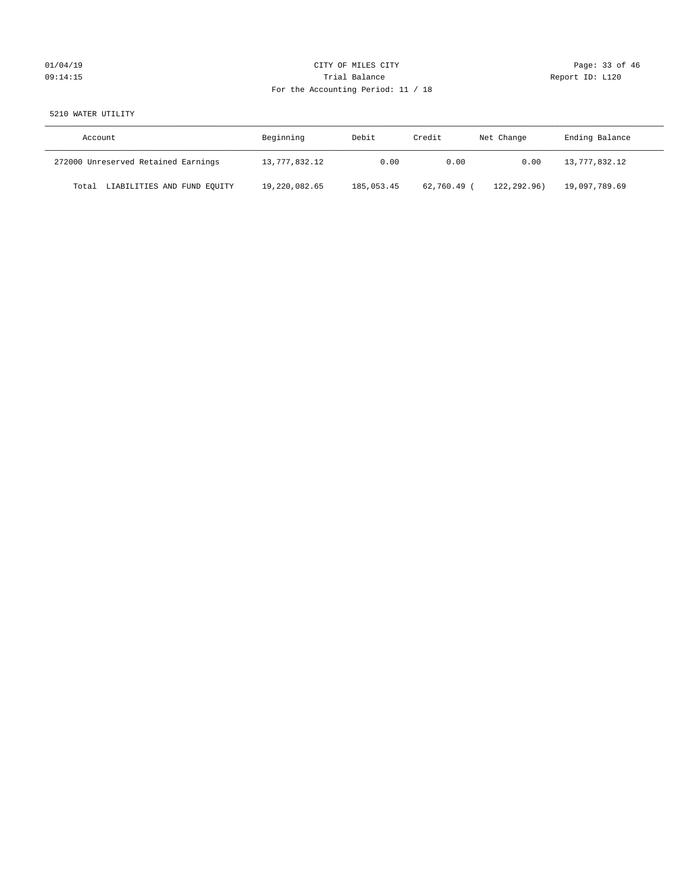# $CITY$  OF MILES  $CITY$  and the contract of  $CITY$  and  $P_0 = 33$  of  $46$ 09:14:15 Trial Balance Report ID: L120 For the Accounting Period: 11 / 18

#### 5210 WATER UTILITY

| Account                              | Beginning     | Debit      | Credit    | Net Change  | Ending Balance |
|--------------------------------------|---------------|------------|-----------|-------------|----------------|
| 272000 Unreserved Retained Earnings  | 13,777,832.12 | 0.00       | 0.00      | 0.00        | 13,777,832.12  |
| LIABILITIES AND FUND EQUITY<br>Total | 19,220,082.65 | 185,053.45 | 62,760.49 | 122.292.96) | 19,097,789.69  |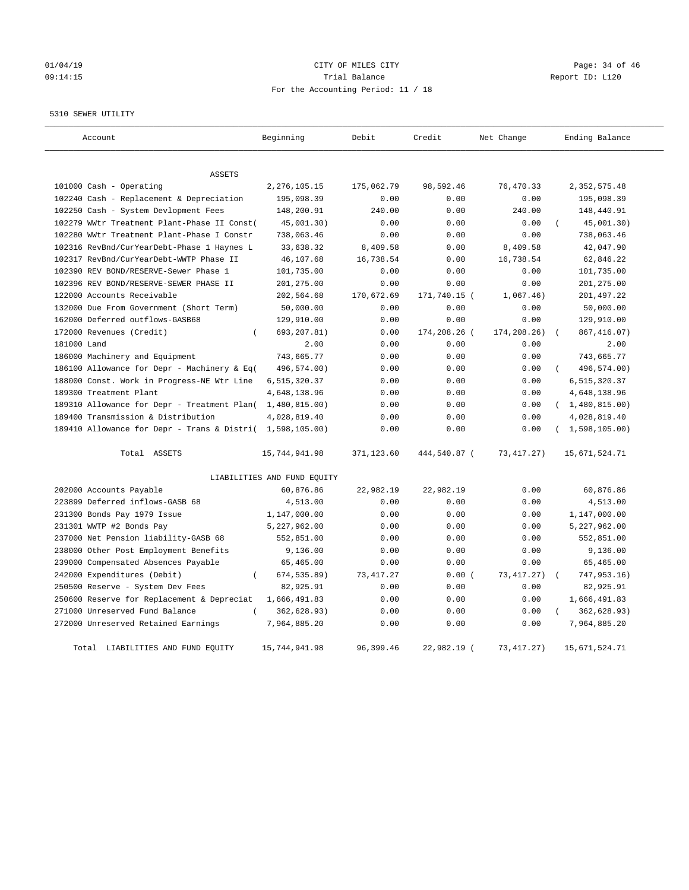# 01/04/19 CITY OF MILES CITY CHECK CITY CHECK CONTROL Page: 34 of 46 09:14:15 Trial Balance Report ID: L120 For the Accounting Period: 11 / 18

#### 5310 SEWER UTILITY

| Account                                                   | Beginning                   | Debit      | Credit       | Net Change   | Ending Balance   |
|-----------------------------------------------------------|-----------------------------|------------|--------------|--------------|------------------|
| <b>ASSETS</b>                                             |                             |            |              |              |                  |
| 101000 Cash - Operating                                   | 2, 276, 105. 15             | 175,062.79 | 98,592.46    | 76,470.33    | 2,352,575.48     |
| 102240 Cash - Replacement & Depreciation                  | 195,098.39                  | 0.00       | 0.00         | 0.00         | 195,098.39       |
| 102250 Cash - System Devlopment Fees                      | 148,200.91                  | 240.00     | 0.00         | 240.00       | 148,440.91       |
| 102279 WWtr Treatment Plant-Phase II Const(               | 45,001.30)                  | 0.00       | 0.00         | 0.00         | 45,001.30)       |
| 102280 WWtr Treatment Plant-Phase I Constr                | 738,063.46                  | 0.00       | 0.00         | 0.00         | 738,063.46       |
| 102316 RevBnd/CurYearDebt-Phase 1 Haynes L                | 33,638.32                   | 8,409.58   | 0.00         | 8,409.58     | 42,047.90        |
| 102317 RevBnd/CurYearDebt-WWTP Phase II                   | 46,107.68                   | 16,738.54  | 0.00         | 16,738.54    | 62,846.22        |
| 102390 REV BOND/RESERVE-Sewer Phase 1                     | 101,735.00                  | 0.00       | 0.00         | 0.00         | 101,735.00       |
| 102396 REV BOND/RESERVE-SEWER PHASE II                    | 201,275.00                  | 0.00       | 0.00         | 0.00         | 201,275.00       |
| 122000 Accounts Receivable                                | 202,564.68                  | 170,672.69 | 171,740.15 ( | 1,067.46)    | 201,497.22       |
| 132000 Due From Government (Short Term)                   | 50,000.00                   | 0.00       | 0.00         | 0.00         | 50,000.00        |
| 162000 Deferred outflows-GASB68                           | 129,910.00                  | 0.00       | 0.00         | 0.00         | 129,910.00       |
| 172000 Revenues (Credit)<br>$\left($                      | 693, 207.81)                | 0.00       | 174,208.26 ( | 174,208.26)  | 867, 416.07)     |
| 181000 Land                                               | 2.00                        | 0.00       | 0.00         | 0.00         | 2.00             |
| 186000 Machinery and Equipment                            | 743,665.77                  | 0.00       | 0.00         | 0.00         | 743,665.77       |
| 186100 Allowance for Depr - Machinery & Eq(               | 496,574.00)                 | 0.00       | 0.00         | 0.00         | 496,574.00)      |
| 188000 Const. Work in Progress-NE Wtr Line                | 6,515,320.37                | 0.00       | 0.00         | 0.00         | 6,515,320.37     |
| 189300 Treatment Plant                                    | 4,648,138.96                | 0.00       | 0.00         | 0.00         | 4,648,138.96     |
| 189310 Allowance for Depr - Treatment Plan(               | 1,480,815.00)               | 0.00       | 0.00         | 0.00         | (1,480,815.00)   |
| 189400 Transmission & Distribution                        | 4,028,819.40                | 0.00       | 0.00         | 0.00         | 4,028,819.40     |
| 189410 Allowance for Depr - Trans & Distri( 1,598,105.00) |                             | 0.00       | 0.00         | 0.00         | (1, 598, 105.00) |
| Total ASSETS                                              | 15,744,941.98               | 371,123.60 | 444,540.87 ( | 73, 417. 27) | 15,671,524.71    |
|                                                           | LIABILITIES AND FUND EQUITY |            |              |              |                  |
| 202000 Accounts Payable                                   | 60,876.86                   | 22,982.19  | 22,982.19    | 0.00         | 60,876.86        |
| 223899 Deferred inflows-GASB 68                           | 4,513.00                    | 0.00       | 0.00         | 0.00         | 4,513.00         |
| 231300 Bonds Pay 1979 Issue                               | 1,147,000.00                | 0.00       | 0.00         | 0.00         | 1,147,000.00     |
| 231301 WWTP #2 Bonds Pay                                  | 5,227,962.00                | 0.00       | 0.00         | 0.00         | 5,227,962.00     |
| 237000 Net Pension liability-GASB 68                      | 552,851.00                  | 0.00       | 0.00         | 0.00         | 552,851.00       |
| 238000 Other Post Employment Benefits                     | 9,136.00                    | 0.00       | 0.00         | 0.00         | 9,136.00         |
| 239000 Compensated Absences Payable                       | 65,465.00                   | 0.00       | 0.00         | 0.00         | 65,465.00        |
| 242000 Expenditures (Debit)<br>$\overline{(\ }$           | 674,535.89)                 | 73, 417.27 | 0.00(        | 73, 417. 27) | 747,953.16)      |
| 250500 Reserve - System Dev Fees                          | 82,925.91                   | 0.00       | 0.00         | 0.00         | 82,925.91        |
| 250600 Reserve for Replacement & Depreciat                | 1,666,491.83                | 0.00       | 0.00         | 0.00         | 1,666,491.83     |
| 271000 Unreserved Fund Balance                            | 362,628.93)                 | 0.00       | 0.00         | 0.00         | 362,628.93)      |
| 272000 Unreserved Retained Earnings                       | 7,964,885.20                | 0.00       | 0.00         | 0.00         | 7,964,885.20     |
| Total LIABILITIES AND FUND EQUITY                         | 15,744,941.98               | 96, 399.46 | 22,982.19 (  | 73, 417. 27) | 15,671,524.71    |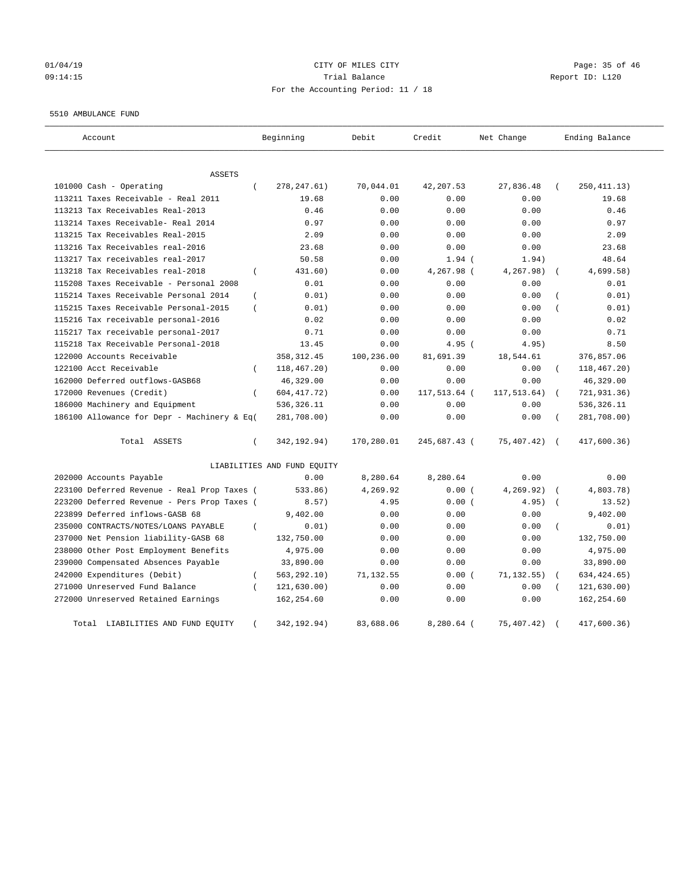#### 01/04/19 Page: 35 of 46 09:14:15 Trial Balance Report ID: L120 For the Accounting Period: 11 / 18

#### 5510 AMBULANCE FUND

| Account                                     |                  | Beginning                   | Debit      | Credit       | Net Change  |                  | Ending Balance |
|---------------------------------------------|------------------|-----------------------------|------------|--------------|-------------|------------------|----------------|
| ASSETS                                      |                  |                             |            |              |             |                  |                |
| 101000 Cash - Operating                     | $\left($         | 278, 247.61)                | 70,044.01  | 42,207.53    | 27,836.48   |                  | 250, 411.13)   |
| 113211 Taxes Receivable - Real 2011         |                  | 19.68                       | 0.00       | 0.00         | 0.00        |                  | 19.68          |
| 113213 Tax Receivables Real-2013            |                  | 0.46                        | 0.00       | 0.00         | 0.00        |                  | 0.46           |
| 113214 Taxes Receivable- Real 2014          |                  | 0.97                        | 0.00       | 0.00         | 0.00        |                  | 0.97           |
| 113215 Tax Receivables Real-2015            |                  | 2.09                        | 0.00       | 0.00         | 0.00        |                  | 2.09           |
| 113216 Tax Receivables real-2016            |                  | 23.68                       | 0.00       | 0.00         | 0.00        |                  | 23.68          |
| 113217 Tax receivables real-2017            |                  | 50.58                       | 0.00       | $1.94$ (     | 1.94)       |                  | 48.64          |
| 113218 Tax Receivables real-2018            | $\left($         | 431.60)                     | 0.00       | 4,267.98 (   | 4,267.98)   |                  | 4,699.58)      |
| 115208 Taxes Receivable - Personal 2008     |                  | 0.01                        | 0.00       | 0.00         | 0.00        |                  | 0.01           |
| 115214 Taxes Receivable Personal 2014       | $\overline{(\ }$ | 0.01)                       | 0.00       | 0.00         | 0.00        |                  | 0.01)          |
| 115215 Taxes Receivable Personal-2015       | $\left($         | 0.01)                       | 0.00       | 0.00         | 0.00        |                  | 0.01)          |
| 115216 Tax receivable personal-2016         |                  | 0.02                        | 0.00       | 0.00         | 0.00        |                  | 0.02           |
| 115217 Tax receivable personal-2017         |                  | 0.71                        | 0.00       | 0.00         | 0.00        |                  | 0.71           |
| 115218 Tax Receivable Personal-2018         |                  | 13.45                       | 0.00       | $4.95$ (     | 4.95)       |                  | 8.50           |
| 122000 Accounts Receivable                  |                  | 358, 312.45                 | 100,236.00 | 81,691.39    | 18,544.61   |                  | 376,857.06     |
| 122100 Acct Receivable                      | $\left($         | 118,467.20)                 | 0.00       | 0.00         | 0.00        |                  | 118,467.20)    |
| 162000 Deferred outflows-GASB68             |                  | 46,329.00                   | 0.00       | 0.00         | 0.00        |                  | 46,329.00      |
| 172000 Revenues (Credit)                    | $\left($         | 604, 417. 72)               | 0.00       | 117,513.64 ( | 117,513.64) |                  | 721,931.36)    |
| 186000 Machinery and Equipment              |                  | 536, 326.11                 | 0.00       | 0.00         | 0.00        |                  | 536, 326.11    |
| 186100 Allowance for Depr - Machinery & Eq( |                  | 281,708.00)                 | 0.00       | 0.00         | 0.00        |                  | 281,708.00)    |
| Total ASSETS                                | $\left($         | 342, 192.94)                | 170,280.01 | 245,687.43 ( | 75,407.42)  | $\sqrt{2}$       | 417,600.36)    |
|                                             |                  | LIABILITIES AND FUND EQUITY |            |              |             |                  |                |
| 202000 Accounts Payable                     |                  | 0.00                        | 8,280.64   | 8,280.64     | 0.00        |                  | 0.00           |
| 223100 Deferred Revenue - Real Prop Taxes ( |                  | 533.86)                     | 4,269.92   | 0.00(        | 4,269.92)   |                  | 4,803.78)      |
| 223200 Deferred Revenue - Pers Prop Taxes ( |                  | 8.57)                       | 4.95       | 0.00(        | 4.95)       | $\sqrt{ }$       | 13.52)         |
| 223899 Deferred inflows-GASB 68             |                  | 9,402.00                    | 0.00       | 0.00         | 0.00        |                  | 9,402.00       |
| 235000 CONTRACTS/NOTES/LOANS PAYABLE        | $\left($         | 0.01)                       | 0.00       | 0.00         | 0.00        | $\overline{(\ }$ | 0.01)          |
| 237000 Net Pension liability-GASB 68        |                  | 132,750.00                  | 0.00       | 0.00         | 0.00        |                  | 132,750.00     |
| 238000 Other Post Employment Benefits       |                  | 4,975.00                    | 0.00       | 0.00         | 0.00        |                  | 4,975.00       |
| 239000 Compensated Absences Payable         |                  | 33,890.00                   | 0.00       | 0.00         | 0.00        |                  | 33,890.00      |
| 242000 Expenditures (Debit)                 | $\left($         | 563, 292.10)                | 71,132.55  | 0.00(        | 71, 132.55) |                  | 634, 424.65)   |
| 271000 Unreserved Fund Balance              | $\left($         | 121, 630.00)                | 0.00       | 0.00         | 0.00        |                  | 121,630.00)    |
| 272000 Unreserved Retained Earnings         |                  | 162,254.60                  | 0.00       | 0.00         | 0.00        |                  | 162,254.60     |
| Total<br>LIABILITIES AND FUND EQUITY        |                  | 342,192.94)                 | 83,688.06  | $8.280.64$ ( | 75,407.42)  |                  | 417.600.36     |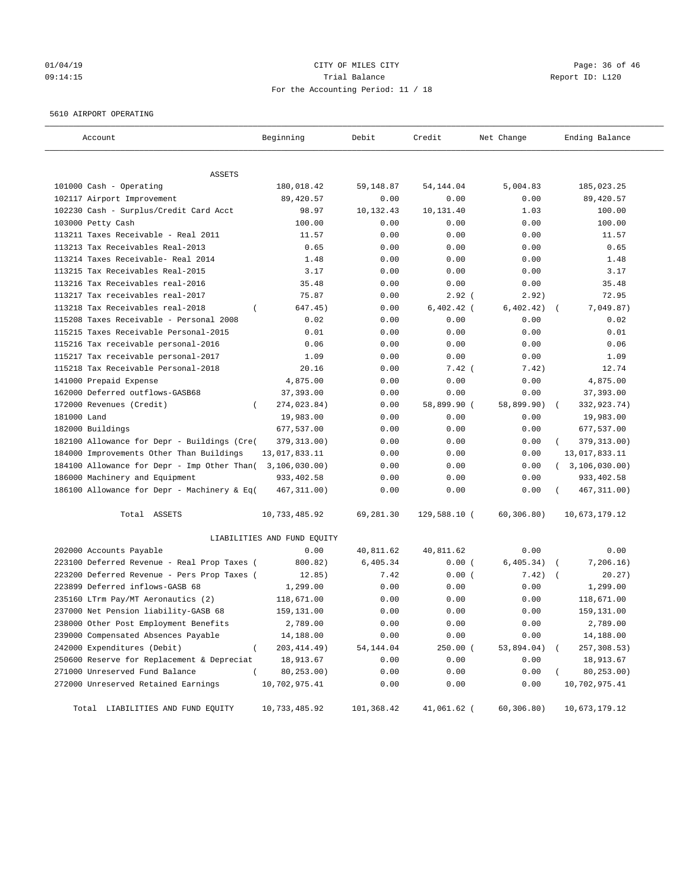#### $O1/04/19$  Page: 36 of 46 09:14:15 Trial Balance Report ID: L120 For the Accounting Period: 11 / 18

#### 5610 AIRPORT OPERATING

| Account                                                   | Beginning                   | Debit      | Credit       | Net Change  | Ending Balance   |
|-----------------------------------------------------------|-----------------------------|------------|--------------|-------------|------------------|
|                                                           |                             |            |              |             |                  |
| ASSETS<br>101000 Cash - Operating                         | 180,018.42                  | 59,148.87  | 54, 144.04   | 5,004.83    | 185,023.25       |
| 102117 Airport Improvement                                | 89,420.57                   | 0.00       | 0.00         | 0.00        | 89,420.57        |
| 102230 Cash - Surplus/Credit Card Acct                    | 98.97                       | 10,132.43  | 10,131.40    | 1.03        | 100.00           |
| 103000 Petty Cash                                         | 100.00                      | 0.00       | 0.00         | 0.00        | 100.00           |
| 113211 Taxes Receivable - Real 2011                       | 11.57                       | 0.00       | 0.00         | 0.00        | 11.57            |
| 113213 Tax Receivables Real-2013                          | 0.65                        | 0.00       | 0.00         | 0.00        | 0.65             |
| 113214 Taxes Receivable- Real 2014                        | 1.48                        | 0.00       | 0.00         | 0.00        | 1.48             |
| 113215 Tax Receivables Real-2015                          | 3.17                        | 0.00       | 0.00         | 0.00        | 3.17             |
| 113216 Tax Receivables real-2016                          | 35.48                       | 0.00       | 0.00         | 0.00        | 35.48            |
| 113217 Tax receivables real-2017                          | 75.87                       | 0.00       | $2.92$ (     | 2.92)       | 72.95            |
| 113218 Tax Receivables real-2018                          | 647.45)<br>$\left($         | 0.00       | $6,402.42$ ( | 6, 402.42)  | 7,049.87)        |
| 115208 Taxes Receivable - Personal 2008                   | 0.02                        | 0.00       | 0.00         | 0.00        | 0.02             |
| 115215 Taxes Receivable Personal-2015                     | 0.01                        | 0.00       | 0.00         | 0.00        | 0.01             |
| 115216 Tax receivable personal-2016                       | 0.06                        | 0.00       | 0.00         | 0.00        | 0.06             |
| 115217 Tax receivable personal-2017                       | 1.09                        | 0.00       | 0.00         | 0.00        | 1.09             |
| 115218 Tax Receivable Personal-2018                       | 20.16                       | 0.00       | $7.42$ (     | 7.42)       | 12.74            |
| 141000 Prepaid Expense                                    | 4,875.00                    | 0.00       | 0.00         | 0.00        | 4,875.00         |
| 162000 Deferred outflows-GASB68                           | 37,393.00                   | 0.00       | 0.00         | 0.00        | 37,393.00        |
| 172000 Revenues (Credit)                                  | 274,023.84)<br>$\left($     | 0.00       | 58,899.90 (  | 58,899.90)  | 332,923.74)      |
| 181000 Land                                               | 19,983.00                   | 0.00       | 0.00         | 0.00        | 19,983.00        |
| 182000 Buildings                                          | 677,537.00                  | 0.00       | 0.00         | 0.00        | 677,537.00       |
| 182100 Allowance for Depr - Buildings (Cre(               | 379, 313.00)                | 0.00       | 0.00         | 0.00        | 379, 313.00)     |
| 184000 Improvements Other Than Buildings                  | 13,017,833.11               | 0.00       | 0.00         | 0.00        | 13,017,833.11    |
| 184100 Allowance for Depr - Imp Other Than( 3,106,030.00) |                             | 0.00       | 0.00         | 0.00        | (3, 106, 030.00) |
| 186000 Machinery and Equipment                            | 933,402.58                  | 0.00       | 0.00         | 0.00        | 933,402.58       |
| 186100 Allowance for Depr - Machinery & Eq(               | 467, 311.00)                | 0.00       | 0.00         | 0.00        | 467, 311.00)     |
|                                                           |                             |            |              |             |                  |
| Total ASSETS                                              | 10,733,485.92               | 69,281.30  | 129,588.10 ( | 60, 306.80) | 10,673,179.12    |
|                                                           | LIABILITIES AND FUND EQUITY |            |              |             |                  |
| 202000 Accounts Payable                                   | 0.00                        | 40,811.62  | 40,811.62    | 0.00        | 0.00             |
| 223100 Deferred Revenue - Real Prop Taxes (               | 800.82)                     | 6,405.34   | 0.00(        | 6, 405.34)  | 7,206.16)        |
| 223200 Deferred Revenue - Pers Prop Taxes (               | 12.85)                      | 7.42       | 0.00(        | 7.42)       | 20.27)           |
| 223899 Deferred inflows-GASB 68                           | 1,299.00                    | 0.00       | 0.00         | 0.00        | 1,299.00         |
| 235160 LTrm Pay/MT Aeronautics (2)                        | 118,671.00                  | 0.00       | 0.00         | 0.00        | 118,671.00       |
| 237000 Net Pension liability-GASB 68                      | 159,131.00                  | 0.00       | 0.00         | 0.00        | 159,131.00       |
| 238000 Other Post Employment Benefits                     | 2,789.00                    | 0.00       | 0.00         | 0.00        | 2,789.00         |
| 239000 Compensated Absences Payable                       | 14,188.00                   | 0.00       | 0.00         | 0.00        | 14,188.00        |
| 242000 Expenditures (Debit)                               | 203, 414.49)<br>$\left($    | 54,144.04  | 250.00 (     | 53,894.04)  | 257,308.53)      |
| 250600 Reserve for Replacement & Depreciat                | 18,913.67                   | 0.00       | 0.00         | 0.00        | 18,913.67        |
| 271000 Unreserved Fund Balance                            | 80, 253.00)                 | 0.00       | 0.00         | 0.00        | 80,253.00)       |
| 272000 Unreserved Retained Earnings                       | 10,702,975.41               | 0.00       | 0.00         | 0.00        | 10,702,975.41    |
| Total LIABILITIES AND FUND EQUITY                         | 10,733,485.92               | 101,368.42 | 41,061.62 (  | 60,306.80)  | 10,673,179.12    |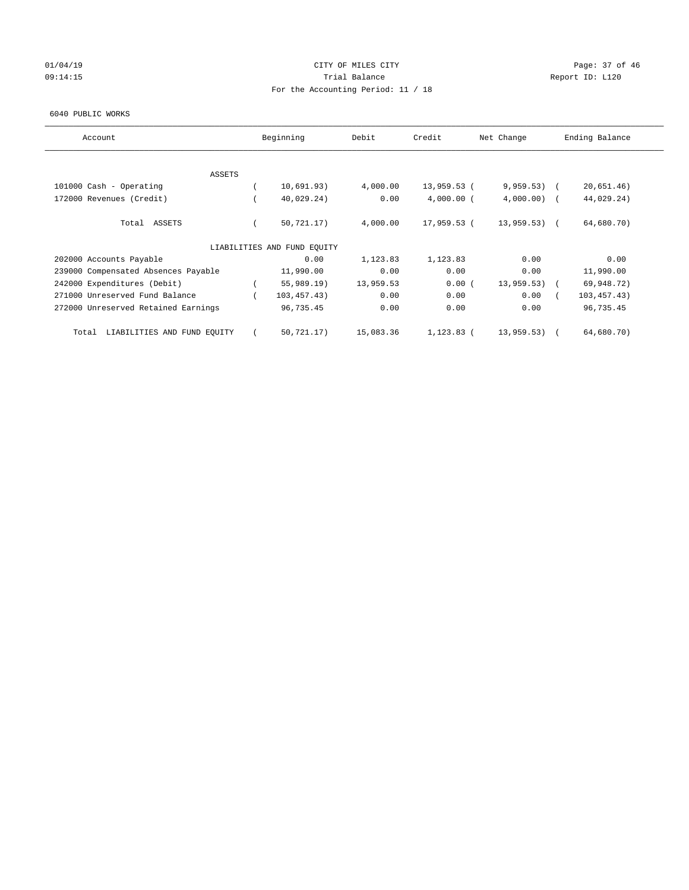# 01/04/19 Page: 37 of 46 09:14:15 COMPOSERT TRIAL BALANCE Report ID: L120 For the Accounting Period: 11 / 18

#### 6040 PUBLIC WORKS

| Account                              | Beginning                   | Debit     | Credit       | Net Change    | Ending Balance |
|--------------------------------------|-----------------------------|-----------|--------------|---------------|----------------|
|                                      |                             |           |              |               |                |
| <b>ASSETS</b>                        |                             |           |              |               |                |
| 101000 Cash - Operating              | 10,691.93)                  | 4,000.00  | 13,959.53 (  | 9,959.53)     | 20,651.46)     |
| 172000 Revenues (Credit)             | 40,029.24)                  | 0.00      | $4,000.00$ ( | $4,000.00)$ ( | 44,029.24)     |
| Total ASSETS                         | 50, 721.17)                 | 4,000.00  | 17,959.53 (  | $13,959.53$ ( | 64,680.70)     |
|                                      | LIABILITIES AND FUND EQUITY |           |              |               |                |
| 202000 Accounts Payable              | 0.00                        | 1,123.83  | 1,123.83     | 0.00          | 0.00           |
| 239000 Compensated Absences Payable  | 11,990.00                   | 0.00      | 0.00         | 0.00          | 11,990.00      |
| 242000 Expenditures (Debit)          | $55,989.19$ )               | 13,959.53 | 0.00(        | 13,959.53)    | 69,948.72)     |
| 271000 Unreserved Fund Balance       | 103, 457.43)                | 0.00      | 0.00         | 0.00          | 103, 457.43)   |
| 272000 Unreserved Retained Earnings  | 96,735.45                   | 0.00      | 0.00         | 0.00          | 96,735.45      |
| LIABILITIES AND FUND EQUITY<br>Total | 50,721.17)                  | 15,083.36 | $1,123.83$ ( | 13,959.53)    | 64,680.70)     |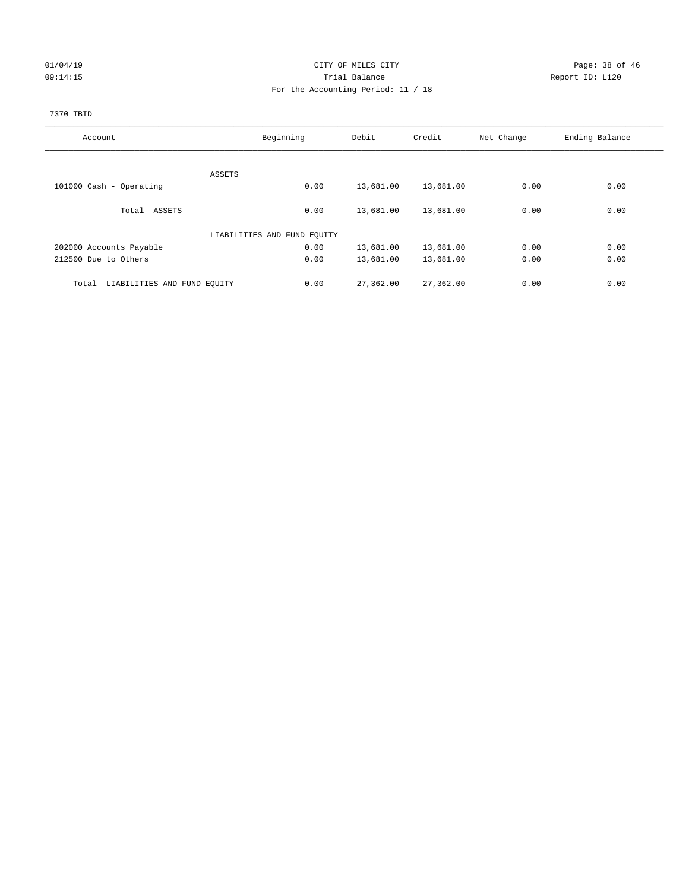### 01/04/19 **Page: 38 of 46 CITY OF MILES CITY Page: 38 of 46 Page: 38 of 46** 09:14:15 Trial Balance Report ID: L120 For the Accounting Period: 11 / 18

#### 7370 TBID

| Account                              | Beginning                   |      | Debit     | Credit    | Net Change | Ending Balance |
|--------------------------------------|-----------------------------|------|-----------|-----------|------------|----------------|
|                                      |                             |      |           |           |            |                |
|                                      | ASSETS                      |      |           |           |            |                |
| 101000 Cash - Operating              |                             | 0.00 | 13,681.00 | 13,681.00 | 0.00       | 0.00           |
| Total ASSETS                         |                             | 0.00 | 13,681.00 | 13,681.00 | 0.00       | 0.00           |
|                                      | LIABILITIES AND FUND EQUITY |      |           |           |            |                |
| 202000 Accounts Payable              |                             | 0.00 | 13,681.00 | 13,681.00 | 0.00       | 0.00           |
| 212500 Due to Others                 |                             | 0.00 | 13,681.00 | 13,681.00 | 0.00       | 0.00           |
| LIABILITIES AND FUND EQUITY<br>Total |                             | 0.00 | 27,362.00 | 27,362.00 | 0.00       | 0.00           |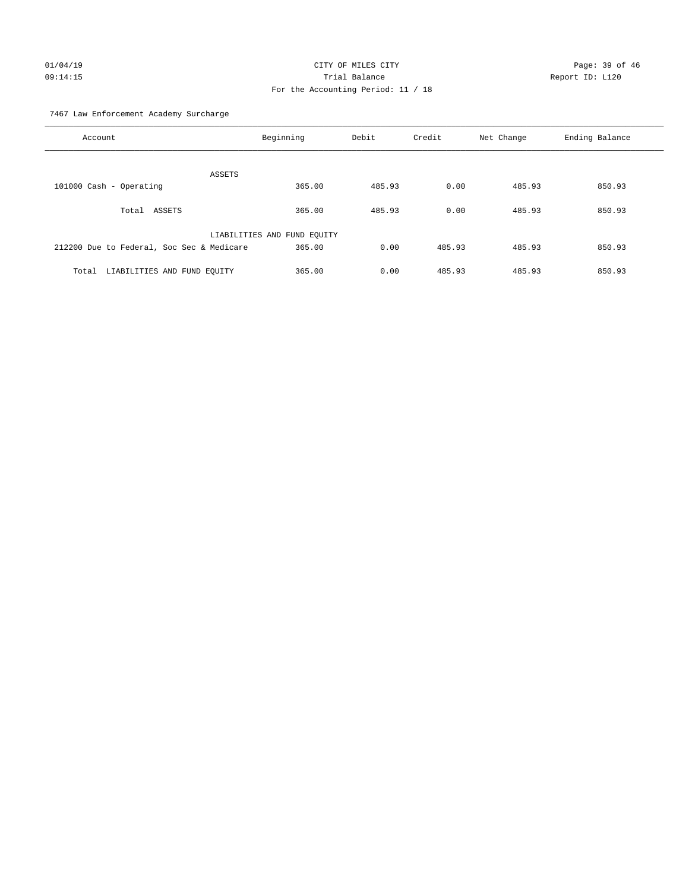# 01/04/19 **Page: 39 of 46** CITY OF MILES CITY 09:14:15 Trial Balance Report ID: L120 For the Accounting Period: 11 / 18

7467 Law Enforcement Academy Surcharge

| Account                                   | Beginning                   | Debit  | Credit | Net Change | Ending Balance |
|-------------------------------------------|-----------------------------|--------|--------|------------|----------------|
| ASSETS                                    |                             |        |        |            |                |
| 101000 Cash - Operating                   | 365.00                      | 485.93 | 0.00   | 485.93     | 850.93         |
| Total ASSETS                              | 365.00                      | 485.93 | 0.00   | 485.93     | 850.93         |
|                                           | LIABILITIES AND FUND EQUITY |        |        |            |                |
| 212200 Due to Federal, Soc Sec & Medicare | 365.00                      | 0.00   | 485.93 | 485.93     | 850.93         |
| LIABILITIES AND FUND EQUITY<br>Total      | 365.00                      | 0.00   | 485.93 | 485.93     | 850.93         |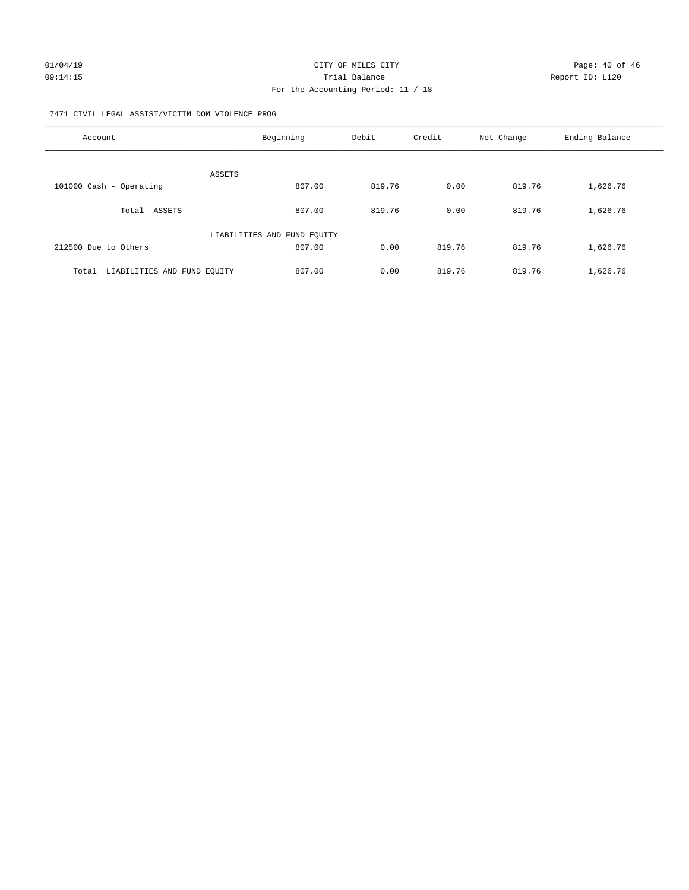#### 7471 CIVIL LEGAL ASSIST/VICTIM DOM VIOLENCE PROG

| Account                              | Beginning                   | Debit  | Credit | Net Change | Ending Balance |
|--------------------------------------|-----------------------------|--------|--------|------------|----------------|
|                                      | ASSETS                      |        |        |            |                |
| 101000 Cash - Operating              | 807.00                      | 819.76 | 0.00   | 819.76     | 1,626.76       |
| Total ASSETS                         | 807.00                      | 819.76 | 0.00   | 819.76     | 1,626.76       |
|                                      | LIABILITIES AND FUND EQUITY |        |        |            |                |
| 212500 Due to Others                 | 807.00                      | 0.00   | 819.76 | 819.76     | 1,626.76       |
| LIABILITIES AND FUND EQUITY<br>Total | 807.00                      | 0.00   | 819.76 | 819.76     | 1,626.76       |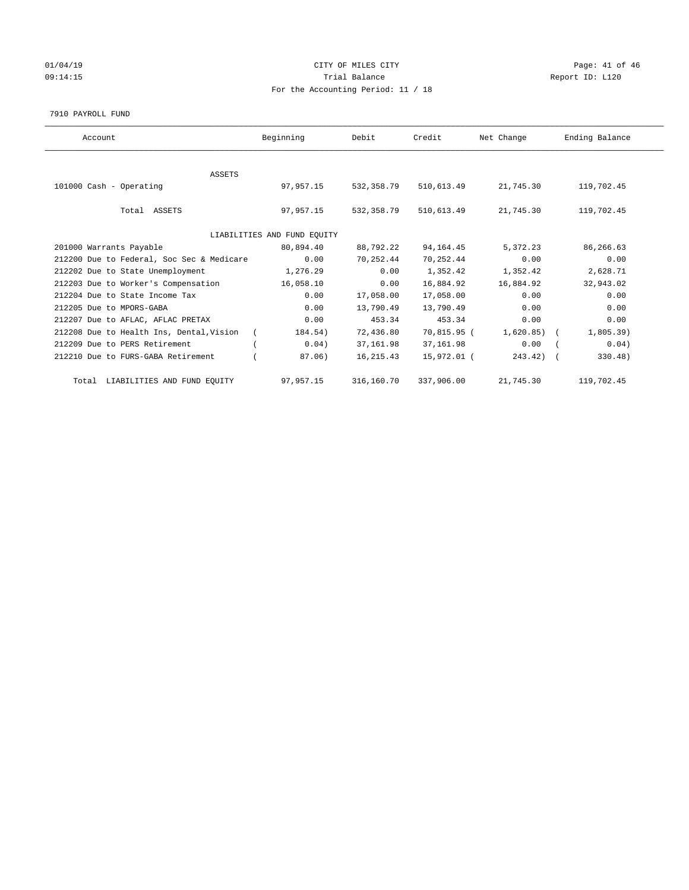### $CITY$  OF MILES  $CITY$  and the contract of 46 Page: 41 of 46 09:14:15 COMPOSERT TRIAL BALANCE Report ID: L120 For the Accounting Period: 11 / 18

#### 7910 PAYROLL FUND

| Account                                   | Beginning                   | Debit      | Credit      | Net Change   | Ending Balance |
|-------------------------------------------|-----------------------------|------------|-------------|--------------|----------------|
|                                           |                             |            |             |              |                |
| <b>ASSETS</b>                             |                             |            |             |              |                |
| 101000 Cash - Operating                   | 97,957.15                   | 532,358.79 | 510,613.49  | 21,745.30    | 119,702.45     |
|                                           |                             |            |             |              |                |
| Total ASSETS                              | 97,957.15                   | 532,358.79 | 510,613.49  | 21,745.30    | 119,702.45     |
|                                           |                             |            |             |              |                |
|                                           | LIABILITIES AND FUND EQUITY |            |             |              |                |
| 201000 Warrants Payable                   | 80,894.40                   | 88,792.22  | 94, 164. 45 | 5,372.23     | 86,266.63      |
| 212200 Due to Federal, Soc Sec & Medicare | 0.00                        | 70,252.44  | 70,252.44   | 0.00         | 0.00           |
| 212202 Due to State Unemployment          | 1,276.29                    | 0.00       | 1,352.42    | 1,352.42     | 2,628.71       |
| 212203 Due to Worker's Compensation       | 16,058.10                   | 0.00       | 16,884.92   | 16,884.92    | 32,943.02      |
| 212204 Due to State Income Tax            | 0.00                        | 17,058.00  | 17,058.00   | 0.00         | 0.00           |
| 212205 Due to MPORS-GABA                  | 0.00                        | 13,790.49  | 13,790.49   | 0.00         | 0.00           |
| 212207 Due to AFLAC, AFLAC PRETAX         | 0.00                        | 453.34     | 453.34      | 0.00         | 0.00           |
| 212208 Due to Health Ins, Dental, Vision  | 184.54)                     | 72,436.80  | 70,815.95 ( | $1,620.85$ ( | 1,805.39)      |
| 212209 Due to PERS Retirement             | 0.04)                       | 37, 161.98 | 37,161.98   | 0.00         | 0.04)          |
| 212210 Due to FURS-GABA Retirement        | 87.06)                      | 16, 215.43 | 15,972.01 ( | $243.42$ ) ( | 330.48)        |
| Total LIABILITIES AND FUND EQUITY         | 97,957.15                   | 316,160.70 | 337,906.00  | 21,745.30    | 119,702.45     |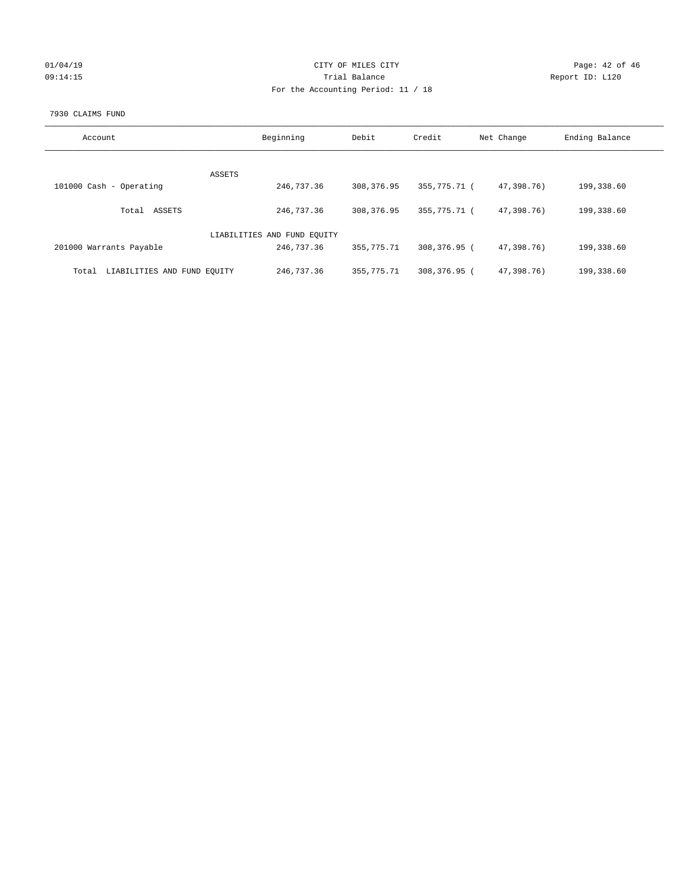### 01/04/19 **Page: 42 of 46** CITY OF MILES CITY 09:14:15 COMPOSERT TRIAL BALANCE Report ID: L120 For the Accounting Period: 11 / 18

#### 7930 CLAIMS FUND

| Account                              | Beginning                   | Debit      | Credit       | Net Change | Ending Balance |
|--------------------------------------|-----------------------------|------------|--------------|------------|----------------|
|                                      |                             |            |              |            |                |
|                                      | ASSETS                      |            |              |            |                |
| 101000 Cash - Operating              | 246,737.36                  | 308,376.95 | 355,775.71 ( | 47,398.76) | 199,338.60     |
| ASSETS<br>Total                      | 246,737.36                  | 308,376.95 | 355,775.71 ( | 47,398.76) | 199,338.60     |
|                                      | LIABILITIES AND FUND EOUITY |            |              |            |                |
| 201000 Warrants Payable              | 246,737.36                  | 355,775.71 | 308,376.95 ( | 47,398.76) | 199,338.60     |
| LIABILITIES AND FUND EQUITY<br>Total | 246,737.36                  | 355,775.71 | 308,376.95 ( | 47,398,76) | 199,338.60     |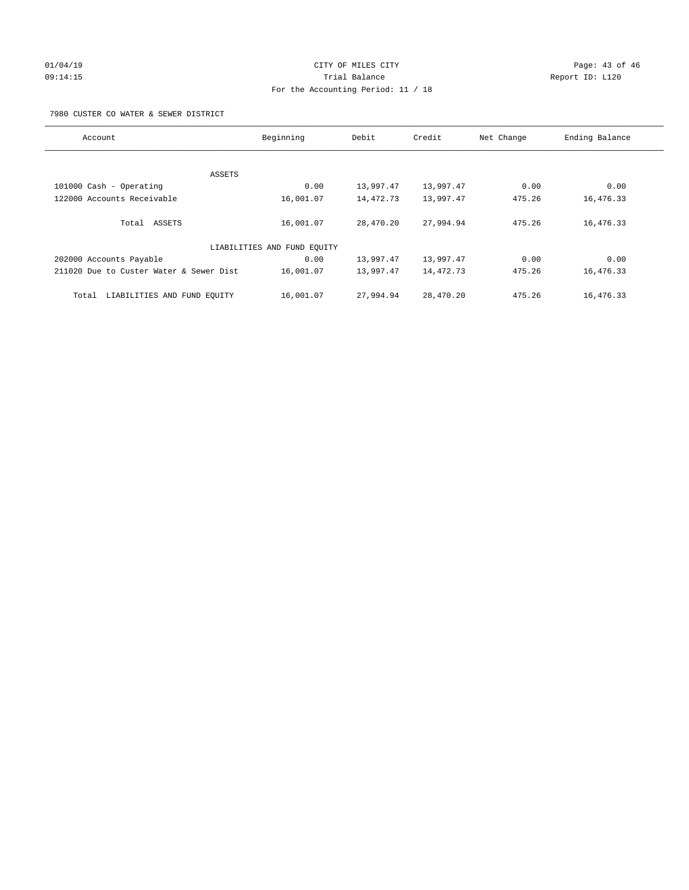# 01/04/19 **Page: 43 of 46** CITY OF MILES CITY 09:14:15 Trial Balance Report ID: L120 For the Accounting Period: 11 / 18

7980 CUSTER CO WATER & SEWER DISTRICT

| Account                                 | Beginning                   | Debit     | Credit    | Net Change | Ending Balance |
|-----------------------------------------|-----------------------------|-----------|-----------|------------|----------------|
|                                         |                             |           |           |            |                |
| ASSETS                                  |                             |           |           |            |                |
| 101000 Cash - Operating                 | 0.00                        | 13,997.47 | 13,997.47 | 0.00       | 0.00           |
| 122000 Accounts Receivable              | 16,001.07                   | 14,472.73 | 13,997.47 | 475.26     | 16,476.33      |
| Total ASSETS                            | 16,001.07                   | 28,470.20 | 27,994.94 | 475.26     | 16,476.33      |
|                                         | LIABILITIES AND FUND EQUITY |           |           |            |                |
| 202000 Accounts Payable                 | 0.00                        | 13,997.47 | 13,997.47 | 0.00       | 0.00           |
| 211020 Due to Custer Water & Sewer Dist | 16,001.07                   | 13,997.47 | 14,472.73 | 475.26     | 16,476.33      |
| LIABILITIES AND FUND EQUITY<br>Total    | 16,001.07                   | 27,994.94 | 28,470.20 | 475.26     | 16,476.33      |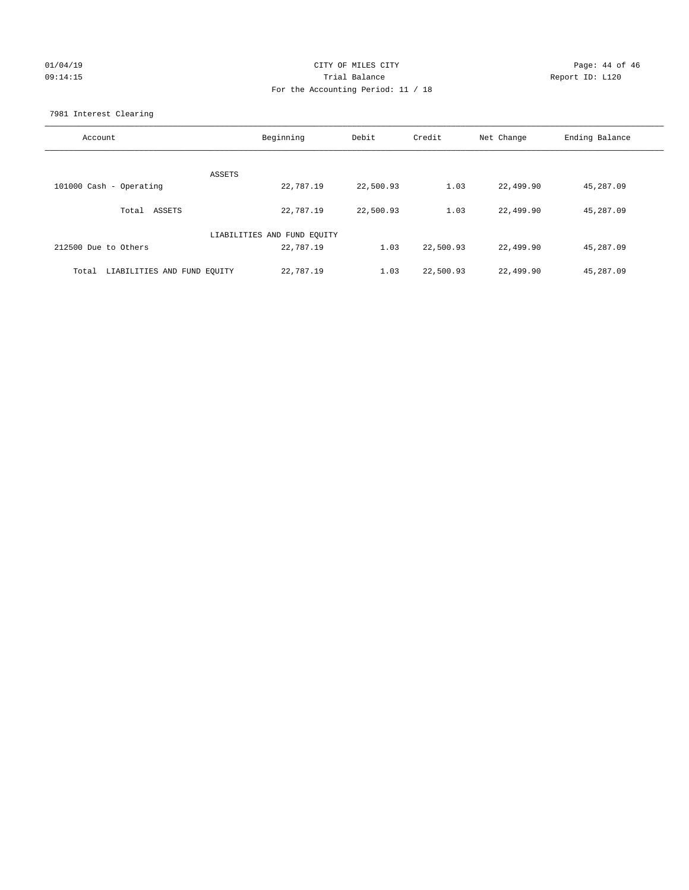## $CITY$  OF MILES  $CITY$  and the contract of 46 Page: 44 of 46 Page: 44 of 46 09:14:15 Trial Balance Report ID: L120 For the Accounting Period: 11 / 18

7981 Interest Clearing

| Account                              | Beginning                   | Debit     | Credit    | Net Change | Ending Balance |
|--------------------------------------|-----------------------------|-----------|-----------|------------|----------------|
|                                      | ASSETS                      |           |           |            |                |
| 101000 Cash - Operating              | 22,787.19                   | 22,500.93 | 1.03      | 22,499.90  | 45,287.09      |
| Total ASSETS                         | 22,787.19                   | 22,500.93 | 1.03      | 22,499.90  | 45,287.09      |
|                                      | LIABILITIES AND FUND EQUITY |           |           |            |                |
| 212500 Due to Others                 | 22,787.19                   | 1.03      | 22,500.93 | 22,499.90  | 45,287.09      |
| LIABILITIES AND FUND EQUITY<br>Total | 22,787.19                   | 1.03      | 22,500.93 | 22,499.90  | 45,287.09      |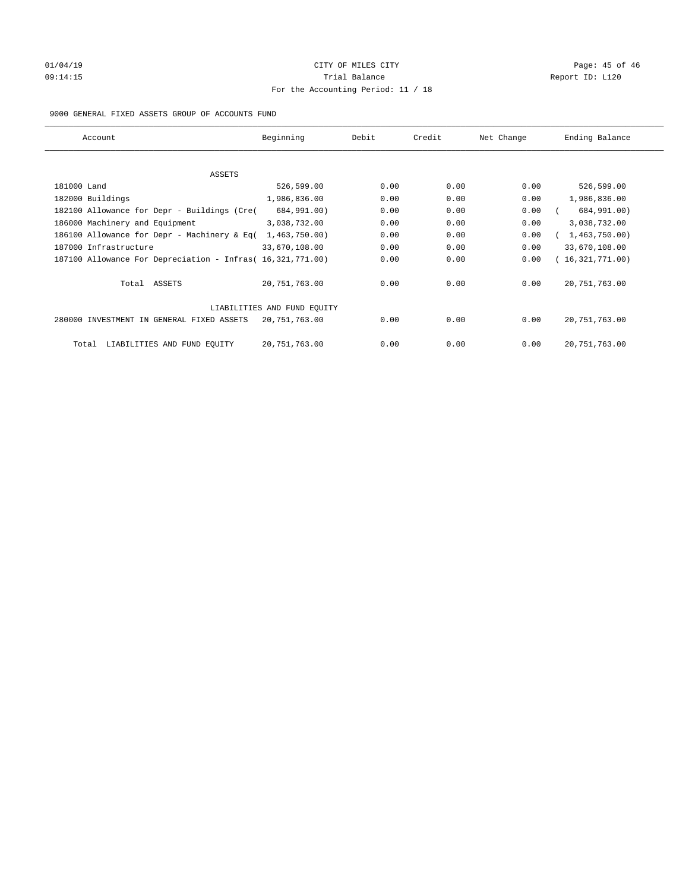### $O1/04/19$  Page: 45 of 46 09:14:15 COMPOSERT TRIAL BALANCE Report ID: L120 For the Accounting Period: 11 / 18

#### 9000 GENERAL FIXED ASSETS GROUP OF ACCOUNTS FUND

| Account                                                    | Beginning                   | Debit | Credit | Net Change | Ending Balance  |
|------------------------------------------------------------|-----------------------------|-------|--------|------------|-----------------|
|                                                            |                             |       |        |            |                 |
| ASSETS                                                     |                             |       |        |            |                 |
| 181000 Land                                                | 526,599.00                  | 0.00  | 0.00   | 0.00       | 526,599.00      |
| 182000 Buildings                                           | 1,986,836.00                | 0.00  | 0.00   | 0.00       | 1,986,836.00    |
| 182100 Allowance for Depr - Buildings (Cre(                | 684,991.00)                 | 0.00  | 0.00   | 0.00       | 684,991.00)     |
| 186000 Machinery and Equipment                             | 3,038,732.00                | 0.00  | 0.00   | 0.00       | 3,038,732.00    |
| 186100 Allowance for Depr - Machinery & Eq(                | 1,463,750.00)               | 0.00  | 0.00   | 0.00       | 1,463,750.00    |
| 187000 Infrastructure                                      | 33,670,108.00               | 0.00  | 0.00   | 0.00       | 33,670,108.00   |
| 187100 Allowance For Depreciation - Infras( 16,321,771.00) |                             | 0.00  | 0.00   | 0.00       | 16,321,771.00)  |
| Total ASSETS                                               | 20, 751, 763.00             | 0.00  | 0.00   | 0.00       | 20, 751, 763.00 |
|                                                            | LIABILITIES AND FUND EQUITY |       |        |            |                 |
| 280000 INVESTMENT IN GENERAL FIXED ASSETS                  | 20, 751, 763.00             | 0.00  | 0.00   | 0.00       | 20, 751, 763.00 |
| LIABILITIES AND FUND EQUITY<br>Total                       | 20, 751, 763.00             | 0.00  | 0.00   | 0.00       | 20, 751, 763.00 |